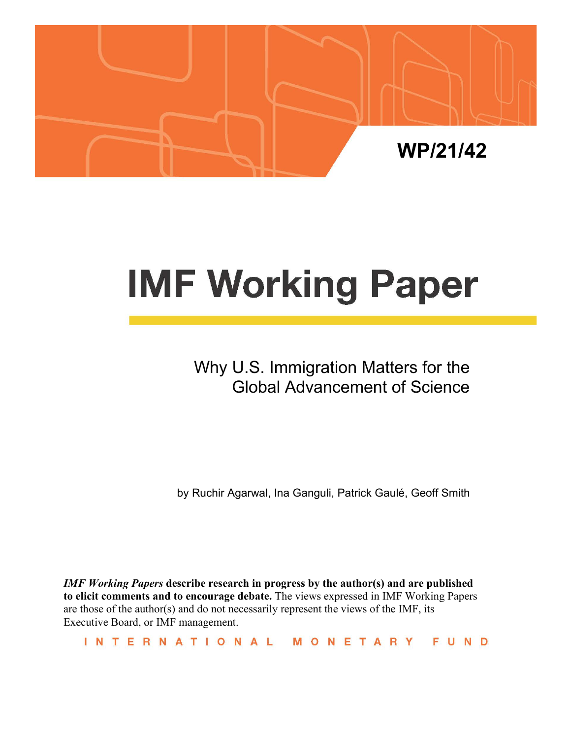

# **IMF Working Paper**

Why U.S. Immigration Matters for the Global Advancement of Science

by Ruchir Agarwal, Ina Ganguli, Patrick Gaulé, Geoff Smith

*IMF Working Papers* **describe research in progress by the author(s) and are published to elicit comments and to encourage debate.** The views expressed in IMF Working Papers are those of the author(s) and do not necessarily represent the views of the IMF, its Executive Board, or IMF management.

INTERNATIONAL MONETARY FUND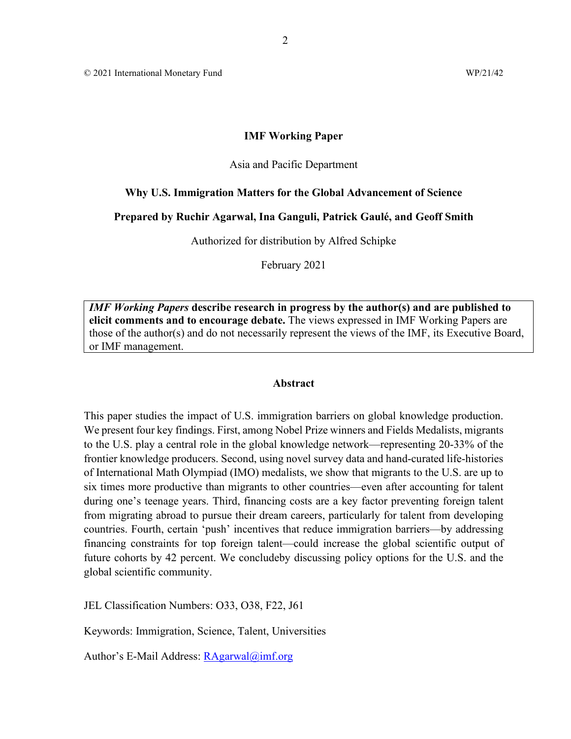© 2021 International Monetary Fund WP/21/42

#### **IMF Working Paper**

#### Asia and Pacific Department

#### **Why U.S. Immigration Matters for the Global Advancement of Science**

#### **Prepared by Ruchir Agarwal, Ina Ganguli, Patrick Gaulé, and Geoff Smith**

Authorized for distribution by Alfred Schipke

February 2021

*IMF Working Papers* **describe research in progress by the author(s) and are published to elicit comments and to encourage debate.** The views expressed in IMF Working Papers are those of the author(s) and do not necessarily represent the views of the IMF, its Executive Board, or IMF management.

#### **Abstract**

This paper studies the impact of U.S. immigration barriers on global knowledge production. We present four key findings. First, among Nobel Prize winners and Fields Medalists, migrants to the U.S. play a central role in the global knowledge network—representing 20-33% of the frontier knowledge producers. Second, using novel survey data and hand-curated life-histories of International Math Olympiad (IMO) medalists, we show that migrants to the U.S. are up to six times more productive than migrants to other countries—even after accounting for talent during one's teenage years. Third, financing costs are a key factor preventing foreign talent from migrating abroad to pursue their dream careers, particularly for talent from developing countries. Fourth, certain 'push' incentives that reduce immigration barriers—by addressing financing constraints for top foreign talent—could increase the global scientific output of future cohorts by 42 percent. We concludeby discussing policy options for the U.S. and the global scientific community.

JEL Classification Numbers: O33, O38, F22, J61

Keywords: Immigration, Science, Talent, Universities

Author's E-Mail Address: [RAgarwal@imf.org](mailto:RAgarwal@imf.org)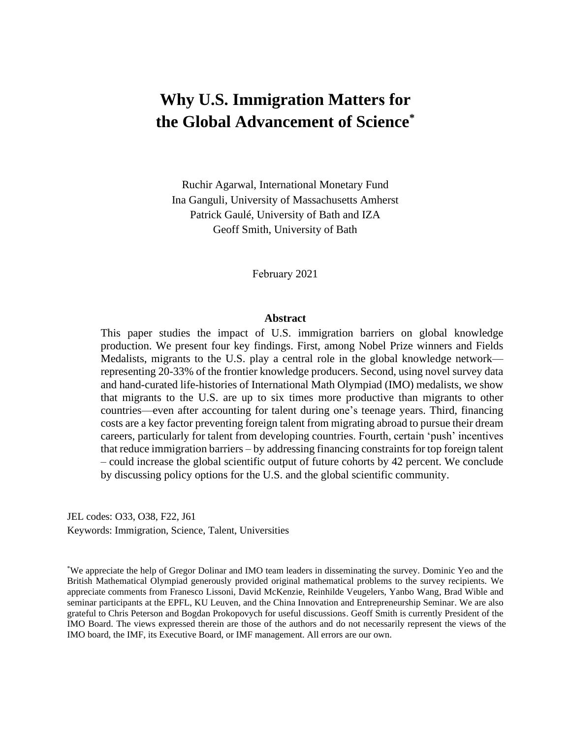# **Why U.S. Immigration Matters for the Global Advancement of Science\***

Ruchir Agarwal, International Monetary Fund Ina Ganguli, University of Massachusetts Amherst Patrick Gaulé, University of Bath and IZA Geoff Smith, University of Bath

February 2021

#### **Abstract**

This paper studies the impact of U.S. immigration barriers on global knowledge production. We present four key findings. First, among Nobel Prize winners and Fields Medalists, migrants to the U.S. play a central role in the global knowledge network representing 20-33% of the frontier knowledge producers. Second, using novel survey data and hand-curated life-histories of International Math Olympiad (IMO) medalists, we show that migrants to the U.S. are up to six times more productive than migrants to other countries—even after accounting for talent during one's teenage years. Third, financing costs are a key factor preventing foreign talent from migrating abroad to pursue their dream careers, particularly for talent from developing countries. Fourth, certain 'push' incentives that reduce immigration barriers – by addressing financing constraints for top foreign talent – could increase the global scientific output of future cohorts by 42 percent. We conclude by discussing policy options for the U.S. and the global scientific community.

JEL codes: O33, O38, F22, J61 Keywords: Immigration, Science, Talent, Universities

\*We appreciate the help of Gregor Dolinar and IMO team leaders in disseminating the survey. Dominic Yeo and the British Mathematical Olympiad generously provided original mathematical problems to the survey recipients. We appreciate comments from Franesco Lissoni, David McKenzie, Reinhilde Veugelers, Yanbo Wang, Brad Wible and seminar participants at the EPFL, KU Leuven, and the China Innovation and Entrepreneurship Seminar. We are also grateful to Chris Peterson and Bogdan Prokopovych for useful discussions. Geoff Smith is currently President of the IMO Board. The views expressed therein are those of the authors and do not necessarily represent the views of the IMO board, the IMF, its Executive Board, or IMF management. All errors are our own.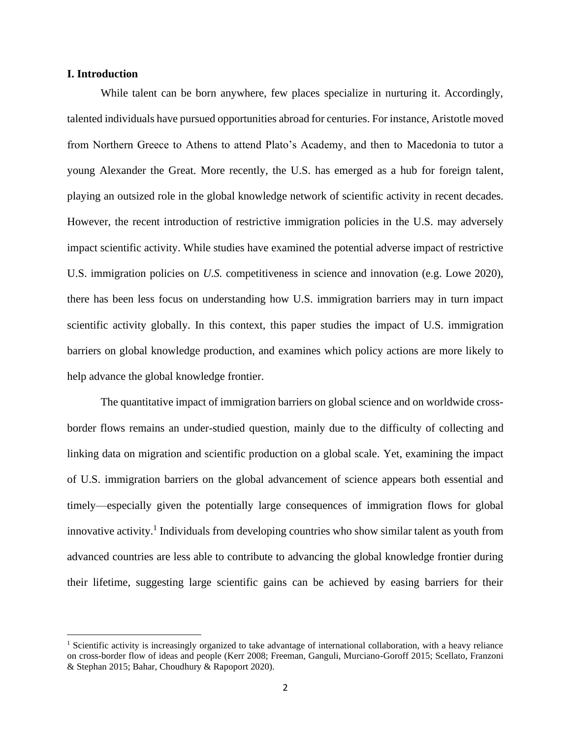#### **I. Introduction**

While talent can be born anywhere, few places specialize in nurturing it. Accordingly, talented individuals have pursued opportunities abroad for centuries. For instance, Aristotle moved from Northern Greece to Athens to attend Plato's Academy, and then to Macedonia to tutor a young Alexander the Great. More recently, the U.S. has emerged as a hub for foreign talent, playing an outsized role in the global knowledge network of scientific activity in recent decades. However, the recent introduction of restrictive immigration policies in the U.S. may adversely impact scientific activity. While studies have examined the potential adverse impact of restrictive U.S. immigration policies on *U.S.* competitiveness in science and innovation (e.g. Lowe 2020), there has been less focus on understanding how U.S. immigration barriers may in turn impact scientific activity globally. In this context, this paper studies the impact of U.S. immigration barriers on global knowledge production, and examines which policy actions are more likely to help advance the global knowledge frontier.

The quantitative impact of immigration barriers on global science and on worldwide crossborder flows remains an under-studied question, mainly due to the difficulty of collecting and linking data on migration and scientific production on a global scale. Yet, examining the impact of U.S. immigration barriers on the global advancement of science appears both essential and timely—especially given the potentially large consequences of immigration flows for global innovative activity. 1 Individuals from developing countries who show similar talent as youth from advanced countries are less able to contribute to advancing the global knowledge frontier during their lifetime, suggesting large scientific gains can be achieved by easing barriers for their

<sup>1</sup> Scientific activity is increasingly organized to take advantage of international collaboration, with a heavy reliance on cross-border flow of ideas and people (Kerr 2008; Freeman, Ganguli, Murciano-Goroff 2015; Scellato, Franzoni & Stephan 2015; Bahar, Choudhury & Rapoport 2020).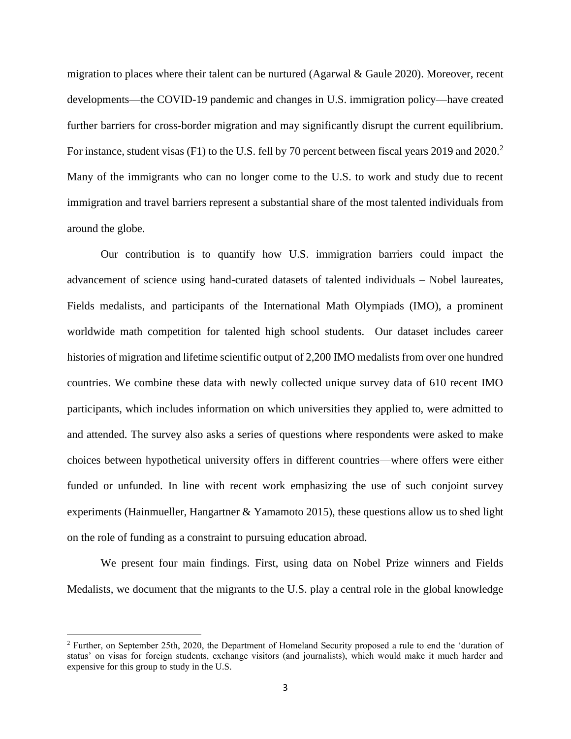migration to places where their talent can be nurtured (Agarwal & Gaule 2020). Moreover, recent developments—the COVID-19 pandemic and changes in U.S. immigration policy—have created further barriers for cross-border migration and may significantly disrupt the current equilibrium. For instance, student visas (F1) to the U.S. fell by 70 percent between fiscal years 2019 and 2020.<sup>2</sup> Many of the immigrants who can no longer come to the U.S. to work and study due to recent immigration and travel barriers represent a substantial share of the most talented individuals from around the globe.

Our contribution is to quantify how U.S. immigration barriers could impact the advancement of science using hand-curated datasets of talented individuals – Nobel laureates, Fields medalists, and participants of the International Math Olympiads (IMO), a prominent worldwide math competition for talented high school students. Our dataset includes career histories of migration and lifetime scientific output of 2,200 IMO medalists from over one hundred countries. We combine these data with newly collected unique survey data of 610 recent IMO participants, which includes information on which universities they applied to, were admitted to and attended. The survey also asks a series of questions where respondents were asked to make choices between hypothetical university offers in different countries—where offers were either funded or unfunded. In line with recent work emphasizing the use of such conjoint survey experiments (Hainmueller, Hangartner & Yamamoto 2015), these questions allow us to shed light on the role of funding as a constraint to pursuing education abroad.

We present four main findings. First, using data on Nobel Prize winners and Fields Medalists, we document that the migrants to the U.S. play a central role in the global knowledge

<sup>2</sup> Further, on September 25th, 2020, the Department of Homeland Security proposed a rule to end the 'duration of status' on visas for foreign students, exchange visitors (and journalists), which would make it much harder and expensive for this group to study in the U.S.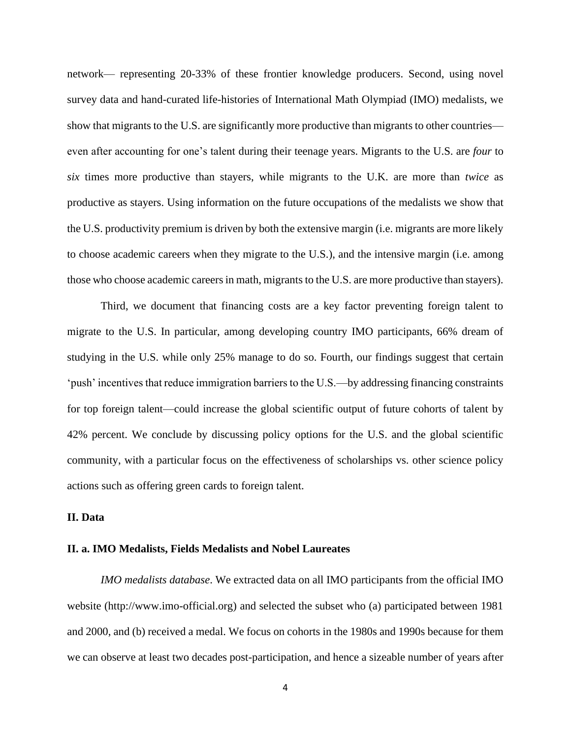network— representing 20-33% of these frontier knowledge producers. Second, using novel survey data and hand-curated life-histories of International Math Olympiad (IMO) medalists, we show that migrants to the U.S. are significantly more productive than migrants to other countries even after accounting for one's talent during their teenage years. Migrants to the U.S. are *four* to *six* times more productive than stayers, while migrants to the U.K. are more than *twice* as productive as stayers. Using information on the future occupations of the medalists we show that the U.S. productivity premium is driven by both the extensive margin (i.e. migrants are more likely to choose academic careers when they migrate to the U.S.), and the intensive margin (i.e. among those who choose academic careers in math, migrants to the U.S. are more productive than stayers).

Third, we document that financing costs are a key factor preventing foreign talent to migrate to the U.S. In particular, among developing country IMO participants, 66% dream of studying in the U.S. while only 25% manage to do so. Fourth, our findings suggest that certain 'push' incentives that reduce immigration barriers to the U.S.—by addressing financing constraints for top foreign talent—could increase the global scientific output of future cohorts of talent by 42% percent. We conclude by discussing policy options for the U.S. and the global scientific community, with a particular focus on the effectiveness of scholarships vs. other science policy actions such as offering green cards to foreign talent.

#### **II. Data**

#### **II. a. IMO Medalists, Fields Medalists and Nobel Laureates**

*IMO medalists database*. We extracted data on all IMO participants from the official IMO website (http://www.imo-official.org) and selected the subset who (a) participated between 1981 and 2000, and (b) received a medal. We focus on cohorts in the 1980s and 1990s because for them we can observe at least two decades post-participation, and hence a sizeable number of years after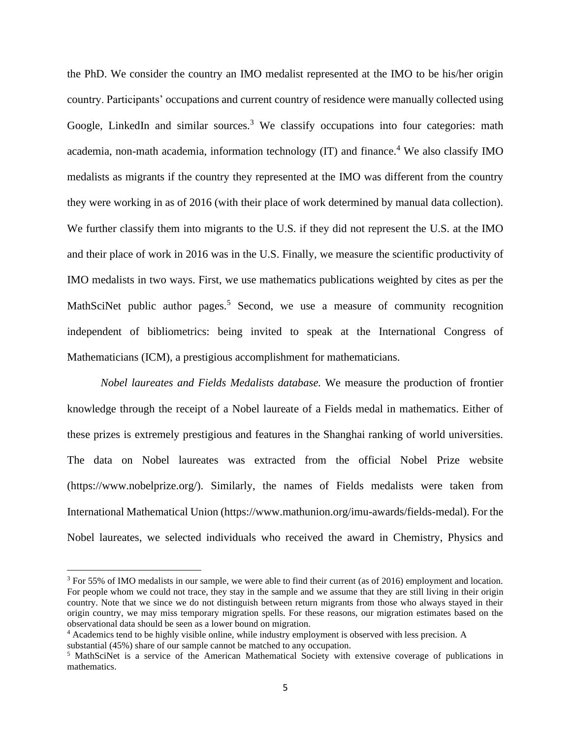the PhD. We consider the country an IMO medalist represented at the IMO to be his/her origin country. Participants' occupations and current country of residence were manually collected using Google, LinkedIn and similar sources.<sup>3</sup> We classify occupations into four categories: math academia, non-math academia, information technology  $(IT)$  and finance.<sup>4</sup> We also classify IMO medalists as migrants if the country they represented at the IMO was different from the country they were working in as of 2016 (with their place of work determined by manual data collection). We further classify them into migrants to the U.S. if they did not represent the U.S. at the IMO and their place of work in 2016 was in the U.S. Finally, we measure the scientific productivity of IMO medalists in two ways. First, we use mathematics publications weighted by cites as per the MathSciNet public author pages.<sup>5</sup> Second, we use a measure of community recognition independent of bibliometrics: being invited to speak at the International Congress of Mathematicians (ICM), a prestigious accomplishment for mathematicians.

*Nobel laureates and Fields Medalists database.* We measure the production of frontier knowledge through the receipt of a Nobel laureate of a Fields medal in mathematics. Either of these prizes is extremely prestigious and features in the Shanghai ranking of world universities. The data on Nobel laureates was extracted from the official Nobel Prize website (https://www.nobelprize.org/). Similarly, the names of Fields medalists were taken from International Mathematical Union (https://www.mathunion.org/imu-awards/fields-medal). For the Nobel laureates, we selected individuals who received the award in Chemistry, Physics and

<sup>&</sup>lt;sup>3</sup> For 55% of IMO medalists in our sample, we were able to find their current (as of 2016) employment and location. For people whom we could not trace, they stay in the sample and we assume that they are still living in their origin country. Note that we since we do not distinguish between return migrants from those who always stayed in their origin country, we may miss temporary migration spells. For these reasons, our migration estimates based on the observational data should be seen as a lower bound on migration.

<sup>&</sup>lt;sup>4</sup> Academics tend to be highly visible online, while industry employment is observed with less precision. A

substantial (45%) share of our sample cannot be matched to any occupation.

<sup>5</sup> MathSciNet is a service of the American Mathematical Society with extensive coverage of publications in mathematics.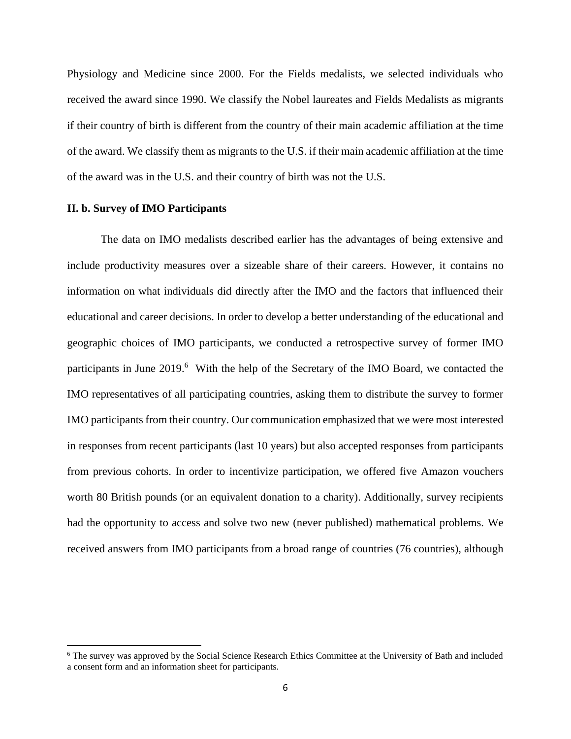Physiology and Medicine since 2000. For the Fields medalists, we selected individuals who received the award since 1990. We classify the Nobel laureates and Fields Medalists as migrants if their country of birth is different from the country of their main academic affiliation at the time of the award. We classify them as migrants to the U.S. if their main academic affiliation at the time of the award was in the U.S. and their country of birth was not the U.S.

#### **II. b. Survey of IMO Participants**

The data on IMO medalists described earlier has the advantages of being extensive and include productivity measures over a sizeable share of their careers. However, it contains no information on what individuals did directly after the IMO and the factors that influenced their educational and career decisions. In order to develop a better understanding of the educational and geographic choices of IMO participants, we conducted a retrospective survey of former IMO participants in June 2019.<sup>6</sup> With the help of the Secretary of the IMO Board, we contacted the IMO representatives of all participating countries, asking them to distribute the survey to former IMO participants from their country. Our communication emphasized that we were most interested in responses from recent participants (last 10 years) but also accepted responses from participants from previous cohorts. In order to incentivize participation, we offered five Amazon vouchers worth 80 British pounds (or an equivalent donation to a charity). Additionally, survey recipients had the opportunity to access and solve two new (never published) mathematical problems. We received answers from IMO participants from a broad range of countries (76 countries), although

<sup>&</sup>lt;sup>6</sup> The survey was approved by the Social Science Research Ethics Committee at the University of Bath and included a consent form and an information sheet for participants.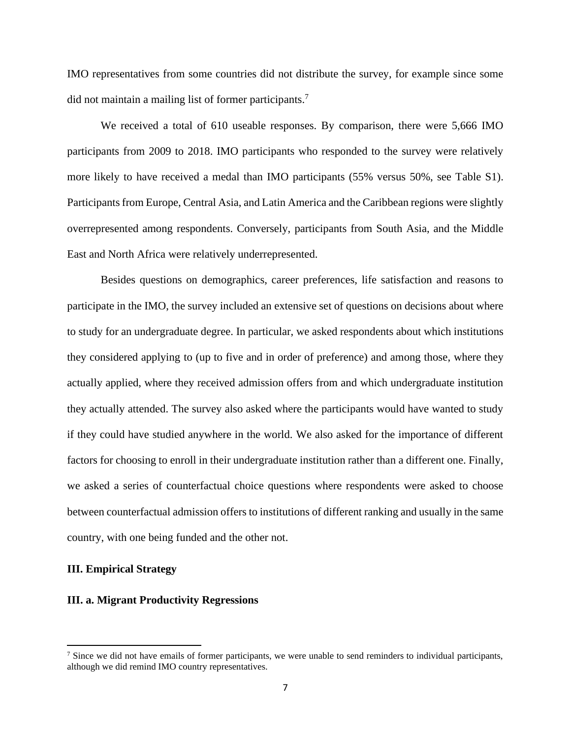IMO representatives from some countries did not distribute the survey, for example since some did not maintain a mailing list of former participants.<sup>7</sup>

We received a total of 610 useable responses. By comparison, there were 5,666 IMO participants from 2009 to 2018. IMO participants who responded to the survey were relatively more likely to have received a medal than IMO participants (55% versus 50%, see Table S1). Participants from Europe, Central Asia, and Latin America and the Caribbean regions were slightly overrepresented among respondents. Conversely, participants from South Asia, and the Middle East and North Africa were relatively underrepresented.

Besides questions on demographics, career preferences, life satisfaction and reasons to participate in the IMO, the survey included an extensive set of questions on decisions about where to study for an undergraduate degree. In particular, we asked respondents about which institutions they considered applying to (up to five and in order of preference) and among those, where they actually applied, where they received admission offers from and which undergraduate institution they actually attended. The survey also asked where the participants would have wanted to study if they could have studied anywhere in the world. We also asked for the importance of different factors for choosing to enroll in their undergraduate institution rather than a different one. Finally, we asked a series of counterfactual choice questions where respondents were asked to choose between counterfactual admission offers to institutions of different ranking and usually in the same country, with one being funded and the other not.

#### **III. Empirical Strategy**

#### **III. a. Migrant Productivity Regressions**

 $<sup>7</sup>$  Since we did not have emails of former participants, we were unable to send reminders to individual participants,</sup> although we did remind IMO country representatives.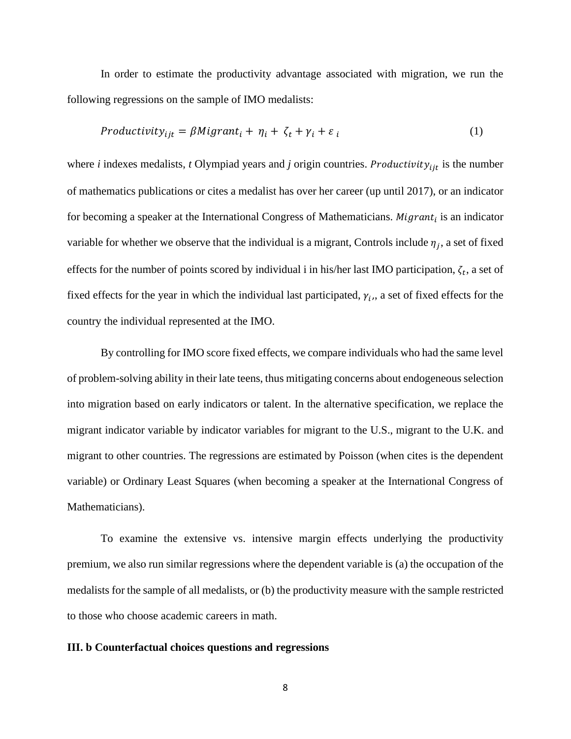In order to estimate the productivity advantage associated with migration, we run the following regressions on the sample of IMO medalists:

$$
Productivity_{ijt} = \beta Migrant_i + \eta_i + \zeta_t + \gamma_i + \varepsilon_i \tag{1}
$$

where *i* indexes medalists, *t* Olympiad years and *j* origin countries. *Productivity*<sub>ijt</sub> is the number of mathematics publications or cites a medalist has over her career (up until 2017), or an indicator for becoming a speaker at the International Congress of Mathematicians. *Migrant<sub>i</sub>* is an indicator variable for whether we observe that the individual is a migrant, Controls include  $\eta_j$ , a set of fixed effects for the number of points scored by individual i in his/her last IMO participation,  $\zeta_t$ , a set of fixed effects for the year in which the individual last participated,  $\gamma_i$ , a set of fixed effects for the country the individual represented at the IMO.

By controlling for IMO score fixed effects, we compare individuals who had the same level of problem-solving ability in their late teens, thus mitigating concerns about endogeneous selection into migration based on early indicators or talent. In the alternative specification, we replace the migrant indicator variable by indicator variables for migrant to the U.S., migrant to the U.K. and migrant to other countries. The regressions are estimated by Poisson (when cites is the dependent variable) or Ordinary Least Squares (when becoming a speaker at the International Congress of Mathematicians).

To examine the extensive vs. intensive margin effects underlying the productivity premium, we also run similar regressions where the dependent variable is (a) the occupation of the medalists for the sample of all medalists, or (b) the productivity measure with the sample restricted to those who choose academic careers in math.

#### **III. b Counterfactual choices questions and regressions**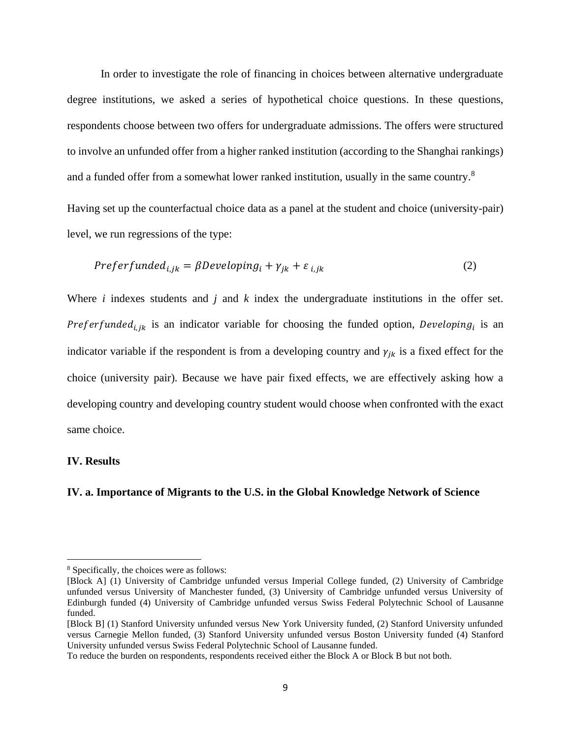In order to investigate the role of financing in choices between alternative undergraduate degree institutions, we asked a series of hypothetical choice questions. In these questions, respondents choose between two offers for undergraduate admissions. The offers were structured to involve an unfunded offer from a higher ranked institution (according to the Shanghai rankings) and a funded offer from a somewhat lower ranked institution, usually in the same country.<sup>8</sup>

Having set up the counterfactual choice data as a panel at the student and choice (university-pair) level, we run regressions of the type:

$$
Preferfunded_{i,jk} = \beta Developing_i + \gamma_{jk} + \varepsilon_{i,jk}
$$
\n(2)

Where *i* indexes students and *j* and *k* index the undergraduate institutions in the offer set. Preferfunded<sub>i, jk</sub> is an indicator variable for choosing the funded option, Developing<sub>i</sub> is an indicator variable if the respondent is from a developing country and  $\gamma_{jk}$  is a fixed effect for the choice (university pair). Because we have pair fixed effects, we are effectively asking how a developing country and developing country student would choose when confronted with the exact same choice.

#### **IV. Results**

#### **IV. a. Importance of Migrants to the U.S. in the Global Knowledge Network of Science**

<sup>8</sup> Specifically, the choices were as follows:

<sup>[</sup>Block A] (1) University of Cambridge unfunded versus Imperial College funded, (2) University of Cambridge unfunded versus University of Manchester funded, (3) University of Cambridge unfunded versus University of Edinburgh funded (4) University of Cambridge unfunded versus Swiss Federal Polytechnic School of Lausanne funded.

<sup>[</sup>Block B] (1) Stanford University unfunded versus New York University funded, (2) Stanford University unfunded versus Carnegie Mellon funded, (3) Stanford University unfunded versus Boston University funded (4) Stanford University unfunded versus Swiss Federal Polytechnic School of Lausanne funded.

To reduce the burden on respondents, respondents received either the Block A or Block B but not both.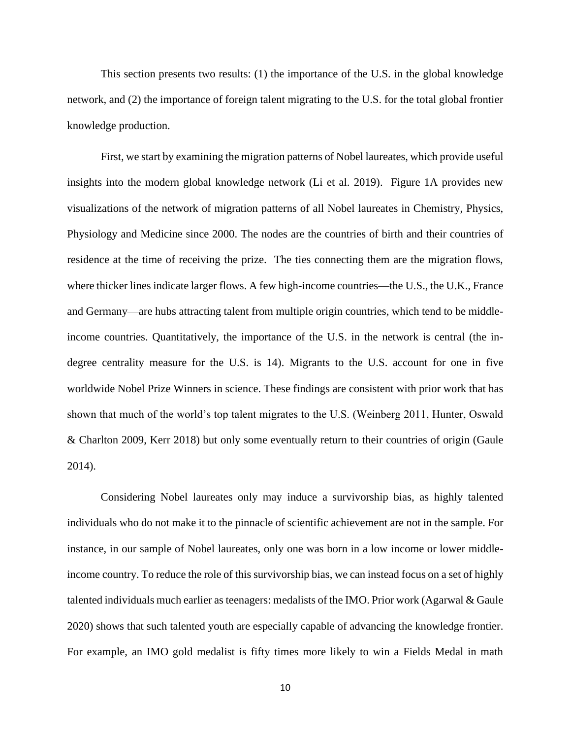This section presents two results: (1) the importance of the U.S. in the global knowledge network, and (2) the importance of foreign talent migrating to the U.S. for the total global frontier knowledge production.

First, we start by examining the migration patterns of Nobel laureates, which provide useful insights into the modern global knowledge network (Li et al. 2019). Figure 1A provides new visualizations of the network of migration patterns of all Nobel laureates in Chemistry, Physics, Physiology and Medicine since 2000. The nodes are the countries of birth and their countries of residence at the time of receiving the prize. The ties connecting them are the migration flows, where thicker lines indicate larger flows. A few high-income countries—the U.S., the U.K., France and Germany—are hubs attracting talent from multiple origin countries, which tend to be middleincome countries. Quantitatively, the importance of the U.S. in the network is central (the indegree centrality measure for the U.S. is 14). Migrants to the U.S. account for one in five worldwide Nobel Prize Winners in science. These findings are consistent with prior work that has shown that much of the world's top talent migrates to the U.S. (Weinberg 2011, Hunter, Oswald & Charlton 2009, Kerr 2018) but only some eventually return to their countries of origin (Gaule 2014).

Considering Nobel laureates only may induce a survivorship bias, as highly talented individuals who do not make it to the pinnacle of scientific achievement are not in the sample. For instance, in our sample of Nobel laureates, only one was born in a low income or lower middleincome country. To reduce the role of this survivorship bias, we can instead focus on a set of highly talented individuals much earlier as teenagers: medalists of the IMO. Prior work (Agarwal & Gaule 2020) shows that such talented youth are especially capable of advancing the knowledge frontier. For example, an IMO gold medalist is fifty times more likely to win a Fields Medal in math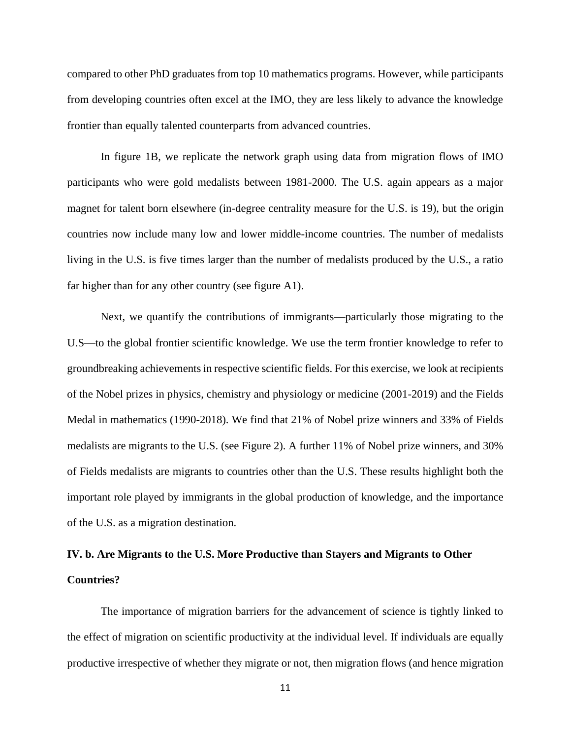compared to other PhD graduates from top 10 mathematics programs. However, while participants from developing countries often excel at the IMO, they are less likely to advance the knowledge frontier than equally talented counterparts from advanced countries.

In figure 1B, we replicate the network graph using data from migration flows of IMO participants who were gold medalists between 1981-2000. The U.S. again appears as a major magnet for talent born elsewhere (in-degree centrality measure for the U.S. is 19), but the origin countries now include many low and lower middle-income countries. The number of medalists living in the U.S. is five times larger than the number of medalists produced by the U.S., a ratio far higher than for any other country (see figure A1).

Next, we quantify the contributions of immigrants—particularly those migrating to the U.S—to the global frontier scientific knowledge. We use the term frontier knowledge to refer to groundbreaking achievements in respective scientific fields. For this exercise, we look at recipients of the Nobel prizes in physics, chemistry and physiology or medicine (2001-2019) and the Fields Medal in mathematics (1990-2018). We find that 21% of Nobel prize winners and 33% of Fields medalists are migrants to the U.S. (see Figure 2). A further 11% of Nobel prize winners, and 30% of Fields medalists are migrants to countries other than the U.S. These results highlight both the important role played by immigrants in the global production of knowledge, and the importance of the U.S. as a migration destination.

# **IV. b. Are Migrants to the U.S. More Productive than Stayers and Migrants to Other Countries?**

The importance of migration barriers for the advancement of science is tightly linked to the effect of migration on scientific productivity at the individual level. If individuals are equally productive irrespective of whether they migrate or not, then migration flows (and hence migration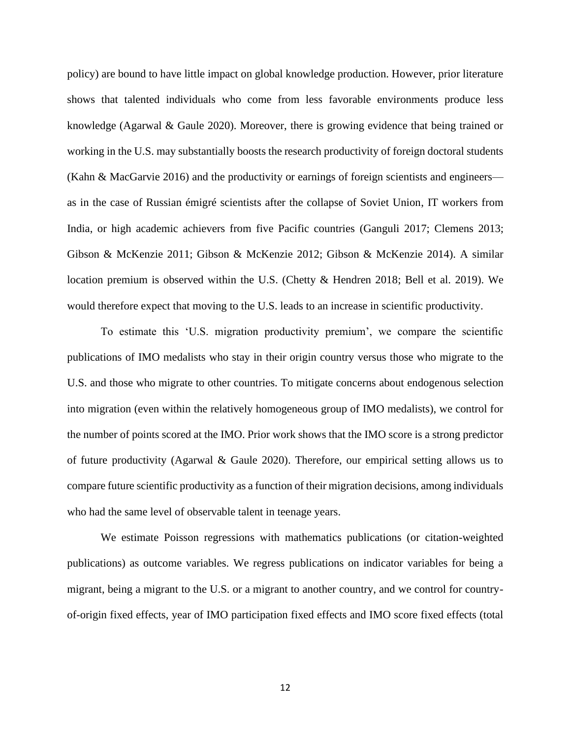policy) are bound to have little impact on global knowledge production. However, prior literature shows that talented individuals who come from less favorable environments produce less knowledge (Agarwal & Gaule 2020). Moreover, there is growing evidence that being trained or working in the U.S. may substantially boosts the research productivity of foreign doctoral students (Kahn & MacGarvie 2016) and the productivity or earnings of foreign scientists and engineers as in the case of Russian émigré scientists after the collapse of Soviet Union, IT workers from India, or high academic achievers from five Pacific countries (Ganguli 2017; Clemens 2013; Gibson & McKenzie 2011; Gibson & McKenzie 2012; Gibson & McKenzie 2014). A similar location premium is observed within the U.S. (Chetty & Hendren 2018; Bell et al. 2019). We would therefore expect that moving to the U.S. leads to an increase in scientific productivity.

To estimate this 'U.S. migration productivity premium', we compare the scientific publications of IMO medalists who stay in their origin country versus those who migrate to the U.S. and those who migrate to other countries. To mitigate concerns about endogenous selection into migration (even within the relatively homogeneous group of IMO medalists), we control for the number of points scored at the IMO. Prior work shows that the IMO score is a strong predictor of future productivity (Agarwal & Gaule 2020). Therefore, our empirical setting allows us to compare future scientific productivity as a function of their migration decisions, among individuals who had the same level of observable talent in teenage years.

We estimate Poisson regressions with mathematics publications (or citation-weighted publications) as outcome variables. We regress publications on indicator variables for being a migrant, being a migrant to the U.S. or a migrant to another country, and we control for countryof-origin fixed effects, year of IMO participation fixed effects and IMO score fixed effects (total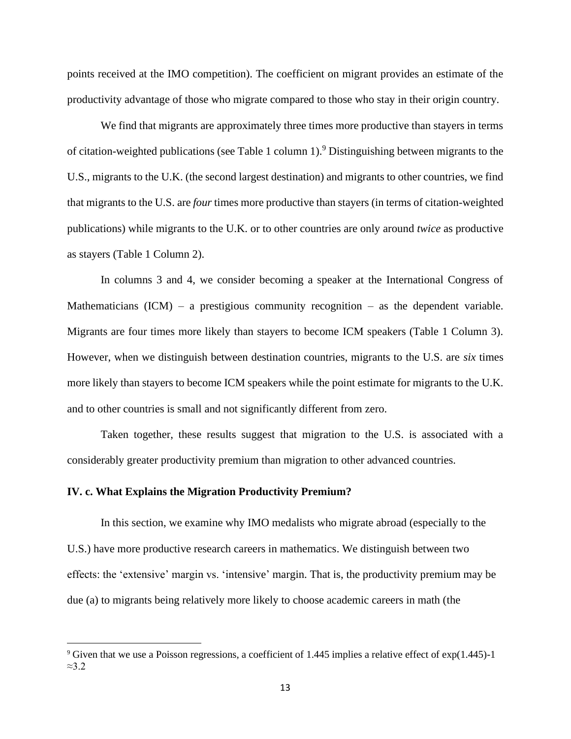points received at the IMO competition). The coefficient on migrant provides an estimate of the productivity advantage of those who migrate compared to those who stay in their origin country.

We find that migrants are approximately three times more productive than stayers in terms of citation-weighted publications (see Table 1 column 1).<sup>9</sup> Distinguishing between migrants to the U.S., migrants to the U.K. (the second largest destination) and migrants to other countries, we find that migrants to the U.S. are *four* times more productive than stayers (in terms of citation-weighted publications) while migrants to the U.K. or to other countries are only around *twice* as productive as stayers (Table 1 Column 2).

In columns 3 and 4, we consider becoming a speaker at the International Congress of Mathematicians  $(ICM)$  – a prestigious community recognition – as the dependent variable. Migrants are four times more likely than stayers to become ICM speakers (Table 1 Column 3). However, when we distinguish between destination countries, migrants to the U.S. are *six* times more likely than stayers to become ICM speakers while the point estimate for migrants to the U.K. and to other countries is small and not significantly different from zero.

Taken together, these results suggest that migration to the U.S. is associated with a considerably greater productivity premium than migration to other advanced countries.

#### **IV. c. What Explains the Migration Productivity Premium?**

In this section, we examine why IMO medalists who migrate abroad (especially to the U.S.) have more productive research careers in mathematics. We distinguish between two effects: the 'extensive' margin vs. 'intensive' margin. That is, the productivity premium may be due (a) to migrants being relatively more likely to choose academic careers in math (the

<sup>9</sup> Given that we use a Poisson regressions, a coefficient of 1.445 implies a relative effect of exp(1.445)-1 ≈3.2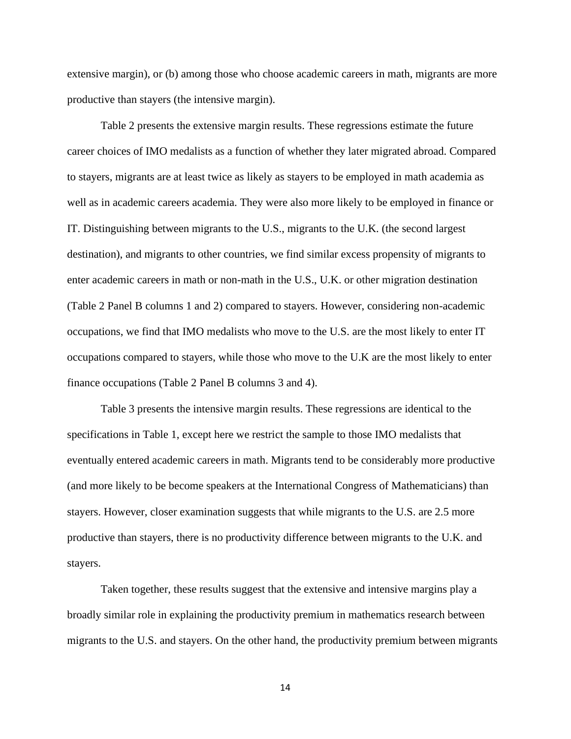extensive margin), or (b) among those who choose academic careers in math, migrants are more productive than stayers (the intensive margin).

Table 2 presents the extensive margin results. These regressions estimate the future career choices of IMO medalists as a function of whether they later migrated abroad. Compared to stayers, migrants are at least twice as likely as stayers to be employed in math academia as well as in academic careers academia. They were also more likely to be employed in finance or IT. Distinguishing between migrants to the U.S., migrants to the U.K. (the second largest destination), and migrants to other countries, we find similar excess propensity of migrants to enter academic careers in math or non-math in the U.S., U.K. or other migration destination (Table 2 Panel B columns 1 and 2) compared to stayers. However, considering non-academic occupations, we find that IMO medalists who move to the U.S. are the most likely to enter IT occupations compared to stayers, while those who move to the U.K are the most likely to enter finance occupations (Table 2 Panel B columns 3 and 4).

Table 3 presents the intensive margin results. These regressions are identical to the specifications in Table 1, except here we restrict the sample to those IMO medalists that eventually entered academic careers in math. Migrants tend to be considerably more productive (and more likely to be become speakers at the International Congress of Mathematicians) than stayers. However, closer examination suggests that while migrants to the U.S. are 2.5 more productive than stayers, there is no productivity difference between migrants to the U.K. and stayers.

Taken together, these results suggest that the extensive and intensive margins play a broadly similar role in explaining the productivity premium in mathematics research between migrants to the U.S. and stayers. On the other hand, the productivity premium between migrants

14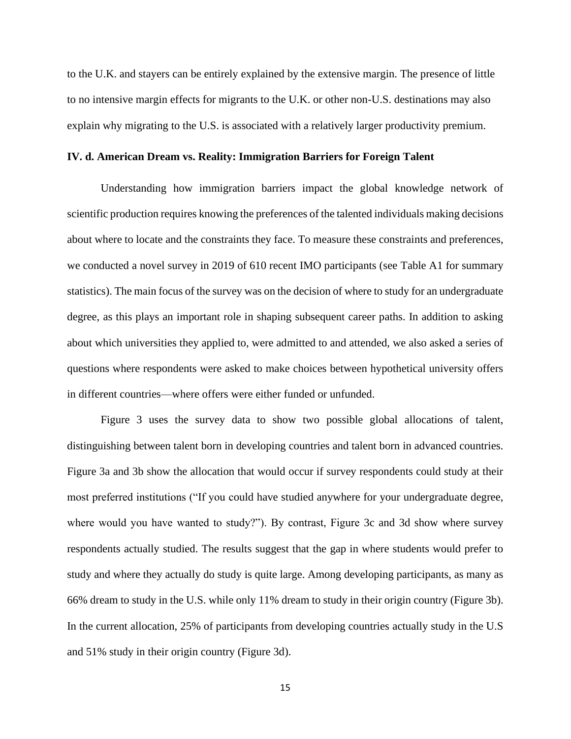to the U.K. and stayers can be entirely explained by the extensive margin. The presence of little to no intensive margin effects for migrants to the U.K. or other non-U.S. destinations may also explain why migrating to the U.S. is associated with a relatively larger productivity premium.

#### **IV. d. American Dream vs. Reality: Immigration Barriers for Foreign Talent**

Understanding how immigration barriers impact the global knowledge network of scientific production requires knowing the preferences of the talented individuals making decisions about where to locate and the constraints they face. To measure these constraints and preferences, we conducted a novel survey in 2019 of 610 recent IMO participants (see Table A1 for summary statistics). The main focus of the survey was on the decision of where to study for an undergraduate degree, as this plays an important role in shaping subsequent career paths. In addition to asking about which universities they applied to, were admitted to and attended, we also asked a series of questions where respondents were asked to make choices between hypothetical university offers in different countries—where offers were either funded or unfunded.

Figure 3 uses the survey data to show two possible global allocations of talent, distinguishing between talent born in developing countries and talent born in advanced countries. Figure 3a and 3b show the allocation that would occur if survey respondents could study at their most preferred institutions ("If you could have studied anywhere for your undergraduate degree, where would you have wanted to study?"). By contrast, Figure 3c and 3d show where survey respondents actually studied. The results suggest that the gap in where students would prefer to study and where they actually do study is quite large. Among developing participants, as many as 66% dream to study in the U.S. while only 11% dream to study in their origin country (Figure 3b). In the current allocation, 25% of participants from developing countries actually study in the U.S and 51% study in their origin country (Figure 3d).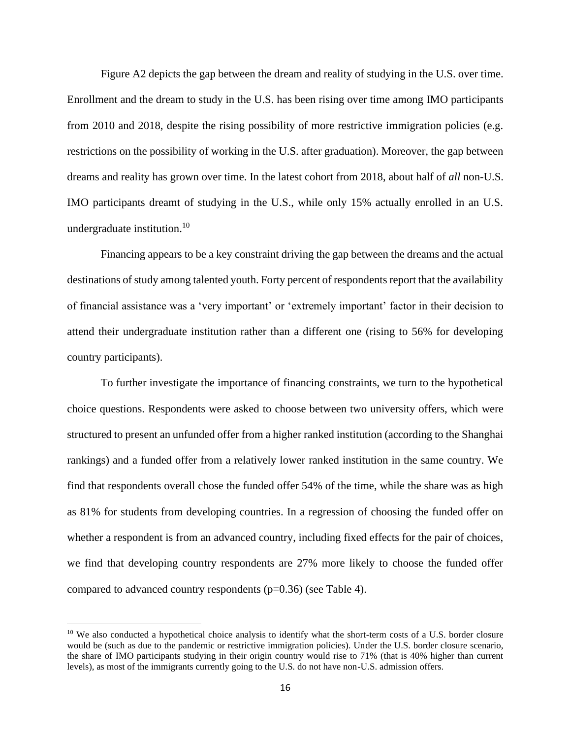Figure A2 depicts the gap between the dream and reality of studying in the U.S. over time. Enrollment and the dream to study in the U.S. has been rising over time among IMO participants from 2010 and 2018, despite the rising possibility of more restrictive immigration policies (e.g. restrictions on the possibility of working in the U.S. after graduation). Moreover, the gap between dreams and reality has grown over time. In the latest cohort from 2018, about half of *all* non-U.S. IMO participants dreamt of studying in the U.S., while only 15% actually enrolled in an U.S. undergraduate institution.<sup>10</sup>

Financing appears to be a key constraint driving the gap between the dreams and the actual destinations of study among talented youth. Forty percent of respondents report that the availability of financial assistance was a 'very important' or 'extremely important' factor in their decision to attend their undergraduate institution rather than a different one (rising to 56% for developing country participants).

To further investigate the importance of financing constraints, we turn to the hypothetical choice questions. Respondents were asked to choose between two university offers, which were structured to present an unfunded offer from a higher ranked institution (according to the Shanghai rankings) and a funded offer from a relatively lower ranked institution in the same country. We find that respondents overall chose the funded offer 54% of the time, while the share was as high as 81% for students from developing countries. In a regression of choosing the funded offer on whether a respondent is from an advanced country, including fixed effects for the pair of choices, we find that developing country respondents are 27% more likely to choose the funded offer compared to advanced country respondents (p=0.36) (see Table 4).

<sup>&</sup>lt;sup>10</sup> We also conducted a hypothetical choice analysis to identify what the short-term costs of a U.S. border closure would be (such as due to the pandemic or restrictive immigration policies). Under the U.S. border closure scenario, the share of IMO participants studying in their origin country would rise to 71% (that is 40% higher than current levels), as most of the immigrants currently going to the U.S. do not have non-U.S. admission offers.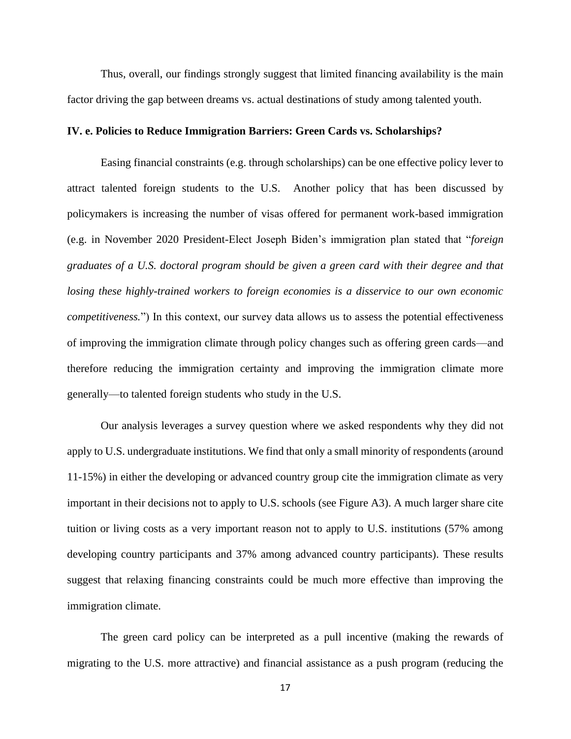Thus, overall, our findings strongly suggest that limited financing availability is the main factor driving the gap between dreams vs. actual destinations of study among talented youth.

#### **IV. e. Policies to Reduce Immigration Barriers: Green Cards vs. Scholarships?**

Easing financial constraints (e.g. through scholarships) can be one effective policy lever to attract talented foreign students to the U.S. Another policy that has been discussed by policymakers is increasing the number of visas offered for permanent work-based immigration (e.g. in November 2020 President-Elect Joseph Biden's immigration plan stated that "*foreign graduates of a U.S. doctoral program should be given a green card with their degree and that losing these highly-trained workers to foreign economies is a disservice to our own economic competitiveness.*") In this context, our survey data allows us to assess the potential effectiveness of improving the immigration climate through policy changes such as offering green cards—and therefore reducing the immigration certainty and improving the immigration climate more generally—to talented foreign students who study in the U.S.

Our analysis leverages a survey question where we asked respondents why they did not apply to U.S. undergraduate institutions. We find that only a small minority of respondents (around 11-15%) in either the developing or advanced country group cite the immigration climate as very important in their decisions not to apply to U.S. schools (see Figure A3). A much larger share cite tuition or living costs as a very important reason not to apply to U.S. institutions (57% among developing country participants and 37% among advanced country participants). These results suggest that relaxing financing constraints could be much more effective than improving the immigration climate.

The green card policy can be interpreted as a pull incentive (making the rewards of migrating to the U.S. more attractive) and financial assistance as a push program (reducing the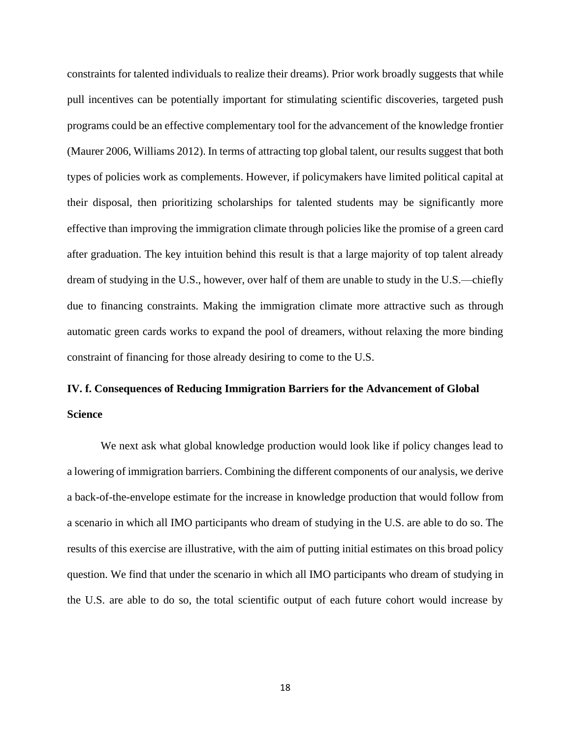constraints for talented individuals to realize their dreams). Prior work broadly suggests that while pull incentives can be potentially important for stimulating scientific discoveries, targeted push programs could be an effective complementary tool for the advancement of the knowledge frontier (Maurer 2006, Williams 2012). In terms of attracting top global talent, our results suggest that both types of policies work as complements. However, if policymakers have limited political capital at their disposal, then prioritizing scholarships for talented students may be significantly more effective than improving the immigration climate through policies like the promise of a green card after graduation. The key intuition behind this result is that a large majority of top talent already dream of studying in the U.S., however, over half of them are unable to study in the U.S.—chiefly due to financing constraints. Making the immigration climate more attractive such as through automatic green cards works to expand the pool of dreamers, without relaxing the more binding constraint of financing for those already desiring to come to the U.S.

# **IV. f. Consequences of Reducing Immigration Barriers for the Advancement of Global Science**

We next ask what global knowledge production would look like if policy changes lead to a lowering of immigration barriers. Combining the different components of our analysis, we derive a back-of-the-envelope estimate for the increase in knowledge production that would follow from a scenario in which all IMO participants who dream of studying in the U.S. are able to do so. The results of this exercise are illustrative, with the aim of putting initial estimates on this broad policy question. We find that under the scenario in which all IMO participants who dream of studying in the U.S. are able to do so, the total scientific output of each future cohort would increase by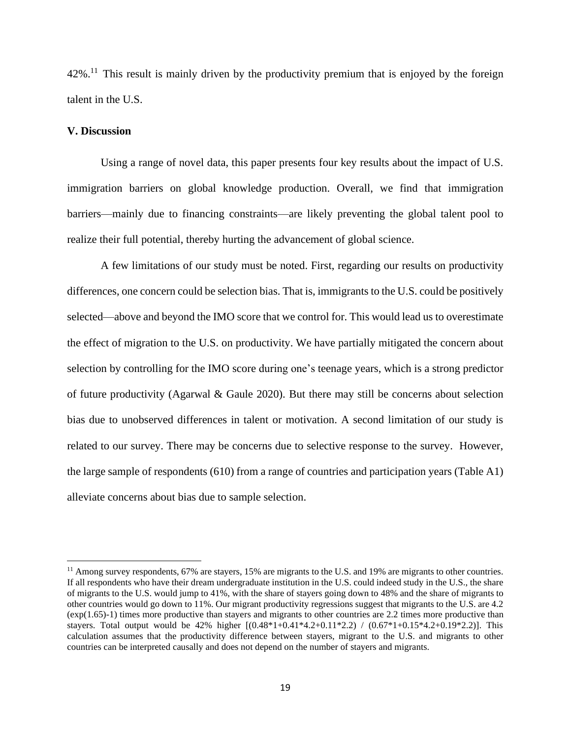$42\%$ <sup>11</sup>. This result is mainly driven by the productivity premium that is enjoyed by the foreign talent in the U.S.

#### **V. Discussion**

Using a range of novel data, this paper presents four key results about the impact of U.S. immigration barriers on global knowledge production. Overall, we find that immigration barriers—mainly due to financing constraints—are likely preventing the global talent pool to realize their full potential, thereby hurting the advancement of global science.

A few limitations of our study must be noted. First, regarding our results on productivity differences, one concern could be selection bias. That is, immigrants to the U.S. could be positively selected—above and beyond the IMO score that we control for. This would lead us to overestimate the effect of migration to the U.S. on productivity. We have partially mitigated the concern about selection by controlling for the IMO score during one's teenage years, which is a strong predictor of future productivity (Agarwal & Gaule 2020). But there may still be concerns about selection bias due to unobserved differences in talent or motivation. A second limitation of our study is related to our survey. There may be concerns due to selective response to the survey. However, the large sample of respondents (610) from a range of countries and participation years (Table A1) alleviate concerns about bias due to sample selection.

<sup>&</sup>lt;sup>11</sup> Among survey respondents, 67% are stayers, 15% are migrants to the U.S. and 19% are migrants to other countries. If all respondents who have their dream undergraduate institution in the U.S. could indeed study in the U.S., the share of migrants to the U.S. would jump to 41%, with the share of stayers going down to 48% and the share of migrants to other countries would go down to 11%. Our migrant productivity regressions suggest that migrants to the U.S. are 4.2 (exp(1.65)-1) times more productive than stayers and migrants to other countries are 2.2 times more productive than stayers. Total output would be 42% higher  $[(0.48*1+0.41*4.2+0.11*2.2) / (0.67*1+0.15*4.2+0.19*2.2)]$ . This calculation assumes that the productivity difference between stayers, migrant to the U.S. and migrants to other countries can be interpreted causally and does not depend on the number of stayers and migrants.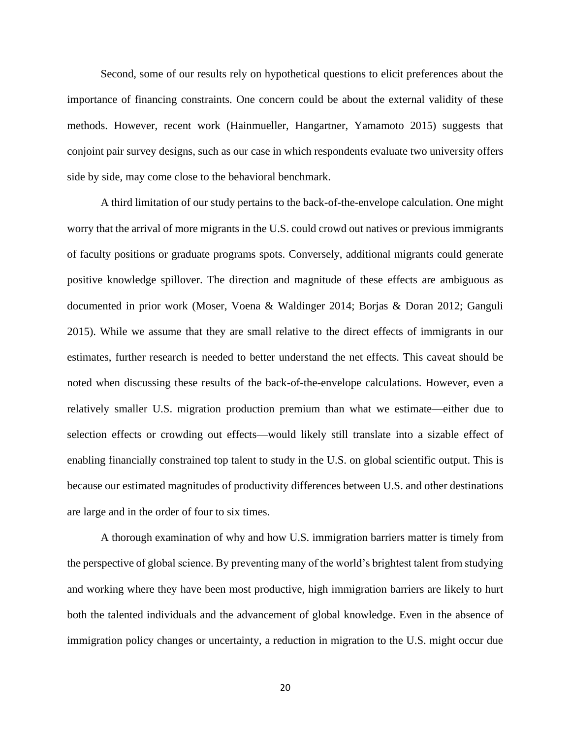Second, some of our results rely on hypothetical questions to elicit preferences about the importance of financing constraints. One concern could be about the external validity of these methods. However, recent work (Hainmueller, Hangartner, Yamamoto 2015) suggests that conjoint pair survey designs, such as our case in which respondents evaluate two university offers side by side, may come close to the behavioral benchmark.

A third limitation of our study pertains to the back-of-the-envelope calculation. One might worry that the arrival of more migrants in the U.S. could crowd out natives or previous immigrants of faculty positions or graduate programs spots. Conversely, additional migrants could generate positive knowledge spillover. The direction and magnitude of these effects are ambiguous as documented in prior work (Moser, Voena & Waldinger 2014; Borjas & Doran 2012; Ganguli 2015). While we assume that they are small relative to the direct effects of immigrants in our estimates, further research is needed to better understand the net effects. This caveat should be noted when discussing these results of the back-of-the-envelope calculations. However, even a relatively smaller U.S. migration production premium than what we estimate—either due to selection effects or crowding out effects—would likely still translate into a sizable effect of enabling financially constrained top talent to study in the U.S. on global scientific output. This is because our estimated magnitudes of productivity differences between U.S. and other destinations are large and in the order of four to six times.

A thorough examination of why and how U.S. immigration barriers matter is timely from the perspective of global science. By preventing many of the world's brightest talent from studying and working where they have been most productive, high immigration barriers are likely to hurt both the talented individuals and the advancement of global knowledge. Even in the absence of immigration policy changes or uncertainty, a reduction in migration to the U.S. might occur due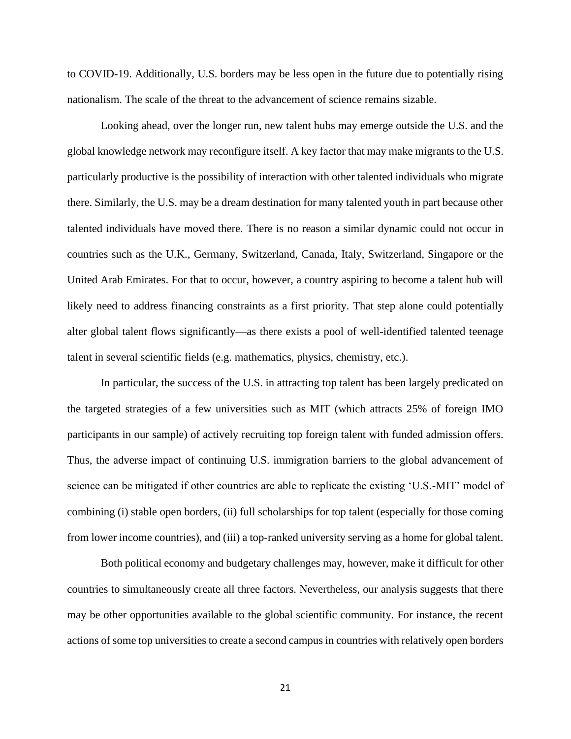to COVID-19. Additionally, U.S. borders may be less open in the future due to potentially rising nationalism. The scale of the threat to the advancement of science remains sizable.

Looking ahead, over the longer run, new talent hubs may emerge outside the U.S. and the global knowledge network may reconfigure itself. A key factor that may make migrants to the U.S. particularly productive is the possibility of interaction with other talented individuals who migrate there. Similarly, the U.S. may be a dream destination for many talented youth in part because other talented individuals have moved there. There is no reason a similar dynamic could not occur in countries such as the U.K., Germany, Switzerland, Canada, Italy, Switzerland, Singapore or the United Arab Emirates. For that to occur, however, a country aspiring to become a talent hub will likely need to address financing constraints as a first priority. That step alone could potentially alter global talent flows significantly—as there exists a pool of well-identified talented teenage talent in several scientific fields (e.g. mathematics, physics, chemistry, etc.).

In particular, the success of the U.S. in attracting top talent has been largely predicated on the targeted strategies of a few universities such as MIT (which attracts 25% of foreign IMO participants in our sample) of actively recruiting top foreign talent with funded admission offers. Thus, the adverse impact of continuing U.S. immigration barriers to the global advancement of science can be mitigated if other countries are able to replicate the existing 'U.S.-MIT' model of combining (i) stable open borders, (ii) full scholarships for top talent (especially for those coming from lower income countries), and (iii) a top-ranked university serving as a home for global talent.

Both political economy and budgetary challenges may, however, make it difficult for other countries to simultaneously create all three factors. Nevertheless, our analysis suggests that there may be other opportunities available to the global scientific community. For instance, the recent actions of some top universities to create a second campus in countries with relatively open borders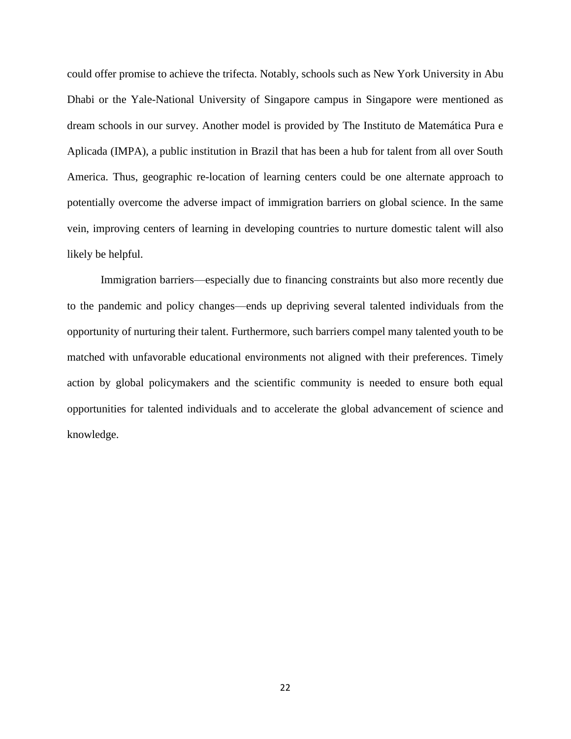could offer promise to achieve the trifecta. Notably, schools such as New York University in Abu Dhabi or the Yale-National University of Singapore campus in Singapore were mentioned as dream schools in our survey. Another model is provided by The Instituto de Matemática Pura e Aplicada (IMPA), a public institution in Brazil that has been a hub for talent from all over South America. Thus, geographic re-location of learning centers could be one alternate approach to potentially overcome the adverse impact of immigration barriers on global science. In the same vein, improving centers of learning in developing countries to nurture domestic talent will also likely be helpful.

Immigration barriers—especially due to financing constraints but also more recently due to the pandemic and policy changes—ends up depriving several talented individuals from the opportunity of nurturing their talent. Furthermore, such barriers compel many talented youth to be matched with unfavorable educational environments not aligned with their preferences. Timely action by global policymakers and the scientific community is needed to ensure both equal opportunities for talented individuals and to accelerate the global advancement of science and knowledge.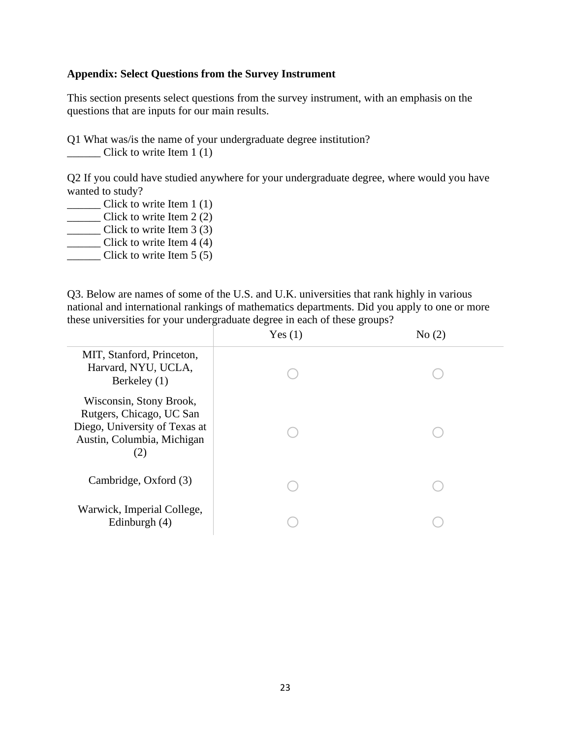#### **Appendix: Select Questions from the Survey Instrument**

This section presents select questions from the survey instrument, with an emphasis on the questions that are inputs for our main results.

Q1 What was/is the name of your undergraduate degree institution? \_\_\_\_\_\_ Click to write Item 1 (1)

Q2 If you could have studied anywhere for your undergraduate degree, where would you have wanted to study?

\_\_\_\_\_\_ Click to write Item 1 (1)  $\frac{1}{2}$  Click to write Item 2 (2)

\_\_\_\_\_\_ Click to write Item 3 (3)

\_\_\_\_\_\_ Click to write Item 4 (4)

 $\frac{1}{2}$  Click to write Item 5 (5)

Q3. Below are names of some of the U.S. and U.K. universities that rank highly in various national and international rankings of mathematics departments. Did you apply to one or more these universities for your undergraduate degree in each of these groups?

|                                                                                                                           | Yes $(1)$ | No(2) |
|---------------------------------------------------------------------------------------------------------------------------|-----------|-------|
| MIT, Stanford, Princeton,<br>Harvard, NYU, UCLA,<br>Berkeley (1)                                                          |           |       |
| Wisconsin, Stony Brook,<br>Rutgers, Chicago, UC San<br>Diego, University of Texas at<br>Austin, Columbia, Michigan<br>(2) |           |       |
| Cambridge, Oxford (3)                                                                                                     |           |       |
| Warwick, Imperial College,<br>Edinburgh $(4)$                                                                             |           |       |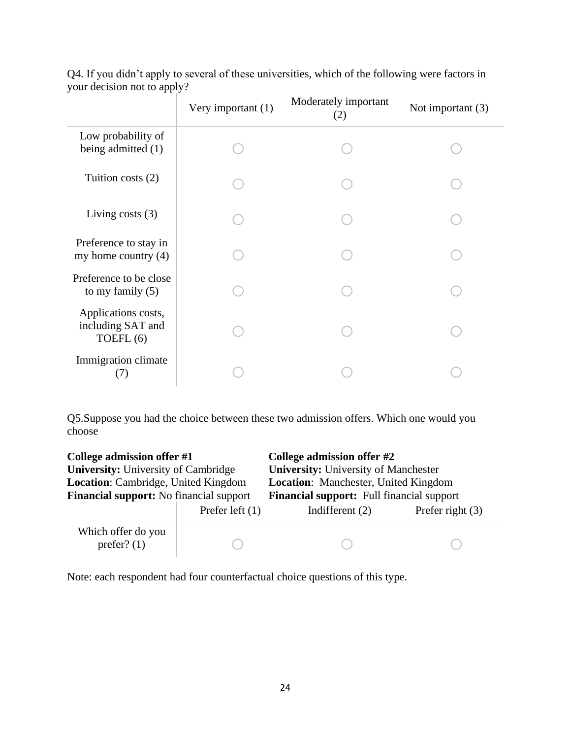|                                                       | Very important (1) | Moderately important<br>(2) | Not important $(3)$ |
|-------------------------------------------------------|--------------------|-----------------------------|---------------------|
| Low probability of<br>being admitted (1)              |                    |                             |                     |
| Tuition costs $(2)$                                   |                    |                             |                     |
| Living costs $(3)$                                    |                    |                             |                     |
| Preference to stay in<br>my home country $(4)$        |                    |                             |                     |
| Preference to be close<br>to my family $(5)$          |                    |                             |                     |
| Applications costs,<br>including SAT and<br>TOEFL (6) |                    |                             |                     |
| Immigration climate<br>(7)                            |                    |                             |                     |

Q4. If you didn't apply to several of these universities, which of the following were factors in your decision not to apply?

Q5.Suppose you had the choice between these two admission offers. Which one would you choose

| College admission offer #1<br><b>University: University of Cambridge</b><br>Location: Cambridge, United Kingdom<br><b>Financial support:</b> No financial support |                   | College admission offer #2<br><b>University: University of Manchester</b><br><b>Location:</b> Manchester, United Kingdom<br><b>Financial support:</b> Full financial support |                    |  |
|-------------------------------------------------------------------------------------------------------------------------------------------------------------------|-------------------|------------------------------------------------------------------------------------------------------------------------------------------------------------------------------|--------------------|--|
|                                                                                                                                                                   | Prefer left $(1)$ | Indifferent $(2)$                                                                                                                                                            | Prefer right $(3)$ |  |
| Which offer do you<br>prefer? $(1)$                                                                                                                               |                   |                                                                                                                                                                              |                    |  |

Note: each respondent had four counterfactual choice questions of this type.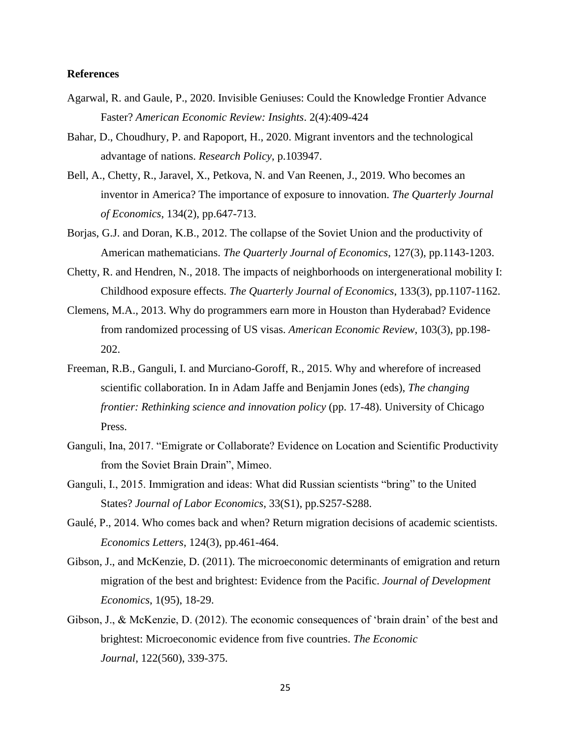#### **References**

- Agarwal, R. and Gaule, P., 2020. Invisible Geniuses: Could the Knowledge Frontier Advance Faster? *American Economic Review: Insights*. 2(4):409-424
- Bahar, D., Choudhury, P. and Rapoport, H., 2020. Migrant inventors and the technological advantage of nations. *Research Policy*, p.103947.
- Bell, A., Chetty, R., Jaravel, X., Petkova, N. and Van Reenen, J., 2019. Who becomes an inventor in America? The importance of exposure to innovation. *The Quarterly Journal of Economics*, 134(2), pp.647-713.
- Borjas, G.J. and Doran, K.B., 2012. The collapse of the Soviet Union and the productivity of American mathematicians. *The Quarterly Journal of Economics*, 127(3), pp.1143-1203.
- Chetty, R. and Hendren, N., 2018. The impacts of neighborhoods on intergenerational mobility I: Childhood exposure effects. *The Quarterly Journal of Economics*, 133(3), pp.1107-1162.
- Clemens, M.A., 2013. Why do programmers earn more in Houston than Hyderabad? Evidence from randomized processing of US visas. *American Economic Review*, 103(3), pp.198- 202.
- Freeman, R.B., Ganguli, I. and Murciano-Goroff, R., 2015. Why and wherefore of increased scientific collaboration. In in Adam Jaffe and Benjamin Jones (eds), *The changing frontier: Rethinking science and innovation policy* (pp. 17-48). University of Chicago Press.
- Ganguli, Ina, 2017. "Emigrate or Collaborate? Evidence on Location and Scientific Productivity from the Soviet Brain Drain", Mimeo.
- Ganguli, I., 2015. Immigration and ideas: What did Russian scientists "bring" to the United States? *Journal of Labor Economics*, 33(S1), pp.S257-S288.
- Gaulé, P., 2014. Who comes back and when? Return migration decisions of academic scientists. *Economics Letters*, 124(3), pp.461-464.
- Gibson, J., and McKenzie, D. (2011). The microeconomic determinants of emigration and return migration of the best and brightest: Evidence from the Pacific. *Journal of Development Economics*, 1(95), 18-29.
- Gibson, J., & McKenzie, D. (2012). The economic consequences of 'brain drain' of the best and brightest: Microeconomic evidence from five countries. *The Economic Journal*, 122(560), 339-375.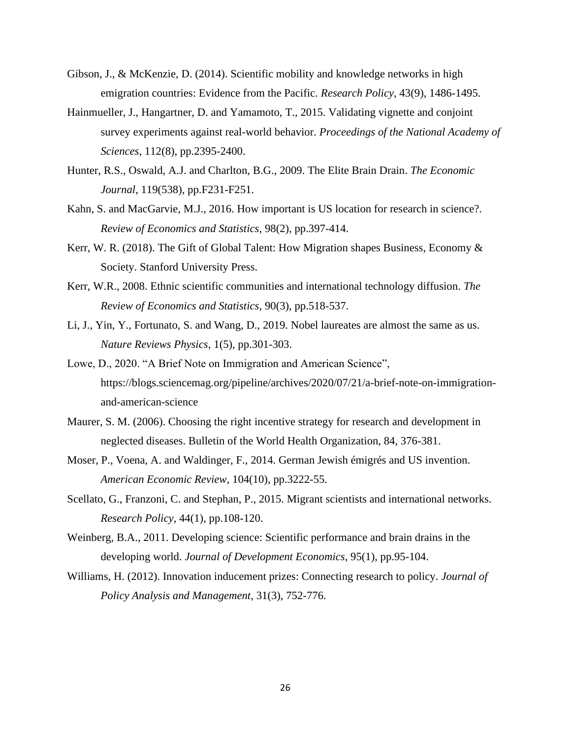- Gibson, J., & McKenzie, D. (2014). Scientific mobility and knowledge networks in high emigration countries: Evidence from the Pacific. *Research Policy*, 43(9), 1486-1495.
- Hainmueller, J., Hangartner, D. and Yamamoto, T., 2015. Validating vignette and conjoint survey experiments against real-world behavior. *Proceedings of the National Academy of Sciences*, 112(8), pp.2395-2400.
- Hunter, R.S., Oswald, A.J. and Charlton, B.G., 2009. The Elite Brain Drain. *The Economic Journal*, 119(538), pp.F231-F251.
- Kahn, S. and MacGarvie, M.J., 2016. How important is US location for research in science?. *Review of Economics and Statistics*, 98(2), pp.397-414.
- Kerr, W. R. (2018). The Gift of Global Talent: How Migration shapes Business, Economy & Society. Stanford University Press.
- Kerr, W.R., 2008. Ethnic scientific communities and international technology diffusion. *The Review of Economics and Statistics*, 90(3), pp.518-537.
- Li, J., Yin, Y., Fortunato, S. and Wang, D., 2019. Nobel laureates are almost the same as us. *Nature Reviews Physics*, 1(5), pp.301-303.
- Lowe, D., 2020. "A Brief Note on Immigration and American Science", https://blogs.sciencemag.org/pipeline/archives/2020/07/21/a-brief-note-on-immigrationand-american-science
- Maurer, S. M. (2006). Choosing the right incentive strategy for research and development in neglected diseases. Bulletin of the World Health Organization, 84, 376-381.
- Moser, P., Voena, A. and Waldinger, F., 2014. German Jewish émigrés and US invention. *American Economic Review*, 104(10), pp.3222-55.
- Scellato, G., Franzoni, C. and Stephan, P., 2015. Migrant scientists and international networks. *Research Policy*, 44(1), pp.108-120.
- Weinberg, B.A., 2011. Developing science: Scientific performance and brain drains in the developing world. *Journal of Development Economics*, 95(1), pp.95-104.
- Williams, H. (2012). Innovation inducement prizes: Connecting research to policy. *Journal of Policy Analysis and Management*, 31(3), 752-776.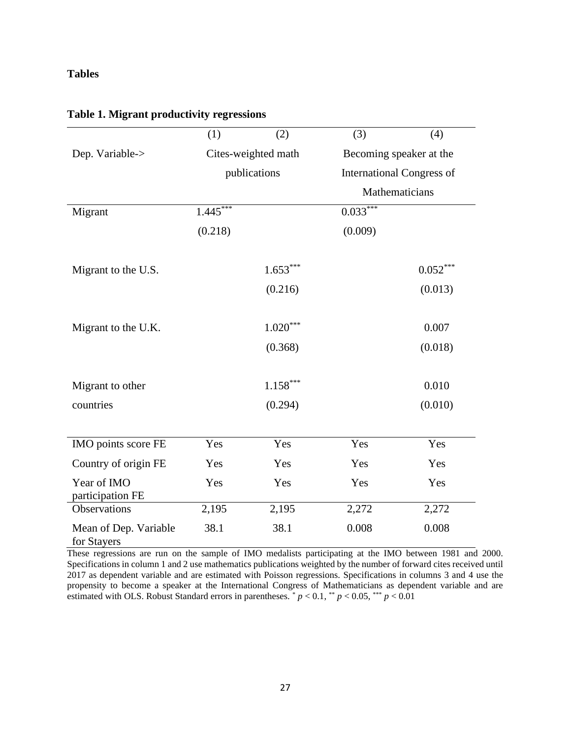## **Tables**

|                                      | (1)        | (2)                 | (3)            | (4)                              |  |
|--------------------------------------|------------|---------------------|----------------|----------------------------------|--|
| Dep. Variable->                      |            | Cites-weighted math |                | Becoming speaker at the          |  |
|                                      |            | publications        |                | <b>International Congress of</b> |  |
|                                      |            |                     | Mathematicians |                                  |  |
| Migrant                              | $1.445***$ |                     | $0.033***$     |                                  |  |
|                                      | (0.218)    |                     | (0.009)        |                                  |  |
|                                      |            |                     |                |                                  |  |
| Migrant to the U.S.                  |            | $1.653***$          |                | $0.052***$                       |  |
|                                      |            | (0.216)             |                | (0.013)                          |  |
|                                      |            |                     |                |                                  |  |
| Migrant to the U.K.                  |            | $1.020***$          |                | 0.007                            |  |
|                                      |            | (0.368)             |                | (0.018)                          |  |
|                                      |            |                     |                |                                  |  |
| Migrant to other                     |            | $1.158***$          |                | 0.010                            |  |
| countries                            |            | (0.294)             |                | (0.010)                          |  |
|                                      |            |                     |                |                                  |  |
| IMO points score FE                  | Yes        | Yes                 | Yes            | Yes                              |  |
| Country of origin FE                 | Yes        | Yes                 | Yes            | Yes                              |  |
| Year of IMO<br>participation FE      | Yes        | Yes                 | Yes            | Yes                              |  |
| Observations                         | 2,195      | 2,195               | 2,272          | 2,272                            |  |
| Mean of Dep. Variable<br>for Stayers | 38.1       | 38.1                | 0.008          | 0.008                            |  |

## **Table 1. Migrant productivity regressions**

These regressions are run on the sample of IMO medalists participating at the IMO between 1981 and 2000. Specifications in column 1 and 2 use mathematics publications weighted by the number of forward cites received until 2017 as dependent variable and are estimated with Poisson regressions. Specifications in columns 3 and 4 use the propensity to become a speaker at the International Congress of Mathematicians as dependent variable and are estimated with OLS. Robust Standard errors in parentheses.  $p < 0.1$ ,  $\sqrt[k]{p} < 0.05$ ,  $\sqrt[k]{p} < 0.01$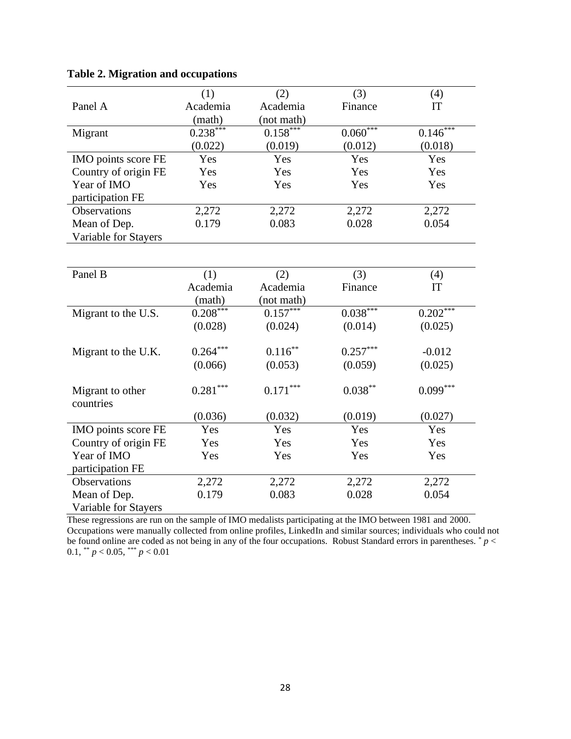|                      | (1)        | (2)        | (3)        | (4)        |
|----------------------|------------|------------|------------|------------|
| Panel A              | Academia   | Academia   | Finance    | IT         |
|                      | (math)     | (not math) |            |            |
| Migrant              | $0.238***$ | $0.158***$ | $0.060***$ | $0.146***$ |
|                      | (0.022)    | (0.019)    | (0.012)    | (0.018)    |
| IMO points score FE  | Yes        | Yes        | Yes        | Yes        |
| Country of origin FE | Yes        | Yes        | Yes        | Yes        |
| Year of IMO          | Yes        | Yes        | Yes        | Yes        |
| participation FE     |            |            |            |            |
| Observations         | 2,272      | 2,272      | 2,272      | 2,272      |
| Mean of Dep.         | 0.179      | 0.083      | 0.028      | 0.054      |
| Variable for Stayers |            |            |            |            |
|                      |            |            |            |            |
|                      |            |            |            |            |
| Panel B              | (1)        | (2)        | (3)        | (4)        |
|                      | Academia   | Academia   | Finance    | IT         |
|                      | (math)     | (not math) |            |            |
| Migrant to the U.S.  | $0.208***$ | $0.157***$ | $0.038***$ | $0.202***$ |
|                      | (0.028)    | (0.024)    | (0.014)    | (0.025)    |
|                      |            |            |            |            |
| Migrant to the U.K.  | $0.264***$ | $0.116***$ | $0.257***$ | $-0.012$   |
|                      | (0.066)    | (0.053)    | (0.059)    | (0.025)    |
|                      |            |            |            |            |
| Migrant to other     | $0.281***$ | $0.171***$ | $0.038***$ | $0.099***$ |
| countries            |            |            |            |            |
|                      | (0.036)    | (0.032)    | (0.019)    | (0.027)    |
| IMO points score FE  | Yes        | Yes        | Yes        | Yes        |
| Country of origin FE | Yes        | Yes        | Yes        | Yes        |
| Year of IMO          | Yes        | Yes        | Yes        | Yes        |
| participation FE     |            |            |            |            |
| <b>Observations</b>  | 2,272      | 2,272      | 2,272      | 2,272      |
| Mean of Dep.         | 0.179      | 0.083      | 0.028      | 0.054      |
| Variable for Stayers |            |            |            |            |

## **Table 2. Migration and occupations**

These regressions are run on the sample of IMO medalists participating at the IMO between 1981 and 2000. Occupations were manually collected from online profiles, LinkedIn and similar sources; individuals who could not be found online are coded as not being in any of the four occupations. Robust Standard errors in parentheses. \* *p* < 0.1,  $*^{*} p < 0.05$ ,  $*^{**} p < 0.01$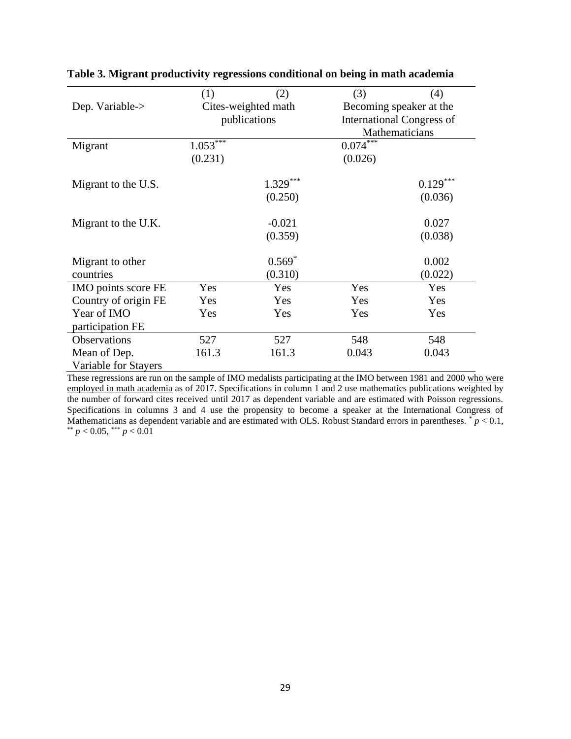|                      | (1)        | (2)                 | (3)        | (4)                              |  |
|----------------------|------------|---------------------|------------|----------------------------------|--|
| Dep. Variable->      |            | Cites-weighted math |            | Becoming speaker at the          |  |
|                      |            | publications        |            | <b>International Congress of</b> |  |
|                      |            |                     |            | Mathematicians                   |  |
| Migrant              | $1.053***$ |                     | $0.074***$ |                                  |  |
|                      | (0.231)    |                     | (0.026)    |                                  |  |
|                      |            |                     |            |                                  |  |
| Migrant to the U.S.  |            | $1.329***$          |            | $0.129***$                       |  |
|                      |            | (0.250)             |            | (0.036)                          |  |
| Migrant to the U.K.  |            | $-0.021$            |            | 0.027                            |  |
|                      |            | (0.359)             |            | (0.038)                          |  |
|                      |            |                     |            |                                  |  |
| Migrant to other     |            | $0.569*$            |            | 0.002                            |  |
| countries            |            | (0.310)             |            | (0.022)                          |  |
| IMO points score FE  | Yes        | Yes                 | Yes        | Yes                              |  |
| Country of origin FE | Yes        | Yes                 | Yes        | Yes                              |  |
| Year of IMO          | Yes        | Yes                 | Yes        | Yes                              |  |
| participation FE     |            |                     |            |                                  |  |
| Observations         | 527        | 527                 | 548        | 548                              |  |
| Mean of Dep.         | 161.3      | 161.3               | 0.043      | 0.043                            |  |
| Variable for Stayers |            |                     |            |                                  |  |

**Table 3. Migrant productivity regressions conditional on being in math academia**

These regressions are run on the sample of IMO medalists participating at the IMO between 1981 and 2000 who were employed in math academia as of 2017. Specifications in column 1 and 2 use mathematics publications weighted by the number of forward cites received until 2017 as dependent variable and are estimated with Poisson regressions. Specifications in columns 3 and 4 use the propensity to become a speaker at the International Congress of Mathematicians as dependent variable and are estimated with OLS. Robust Standard errors in parentheses.  $\check{p}$  < 0.1, \*\*  $p < 0.05$ , \*\*\*  $p < 0.01$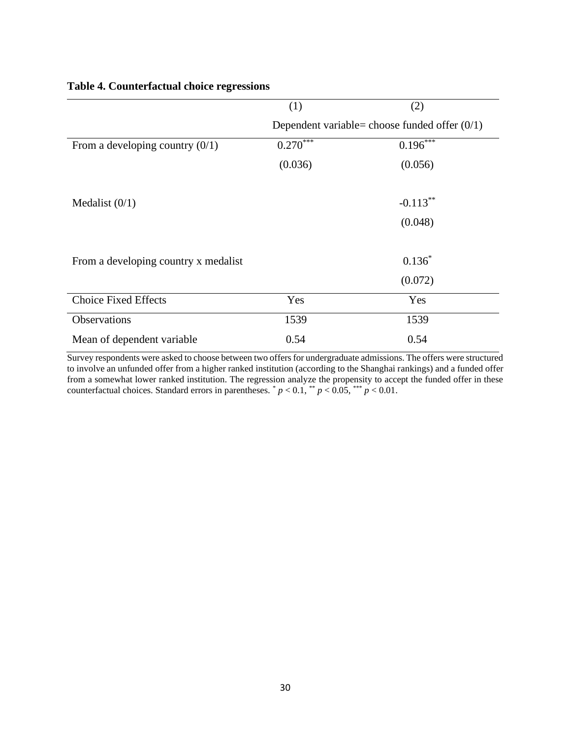|                                      | (1)         | (2)                                             |  |  |
|--------------------------------------|-------------|-------------------------------------------------|--|--|
|                                      |             | Dependent variable= choose funded offer $(0/1)$ |  |  |
| From a developing country $(0/1)$    | $0.270$ *** | $0.196***$                                      |  |  |
|                                      | (0.036)     | (0.056)                                         |  |  |
|                                      |             |                                                 |  |  |
| Medalist $(0/1)$                     |             | $-0.113***$                                     |  |  |
|                                      |             | (0.048)                                         |  |  |
|                                      |             |                                                 |  |  |
| From a developing country x medalist |             | $0.136*$                                        |  |  |
|                                      |             | (0.072)                                         |  |  |
| <b>Choice Fixed Effects</b>          | Yes         | Yes                                             |  |  |
| Observations                         | 1539        | 1539                                            |  |  |
| Mean of dependent variable           | 0.54        | 0.54                                            |  |  |

#### **Table 4. Counterfactual choice regressions**

Survey respondents were asked to choose between two offers for undergraduate admissions. The offers were structured to involve an unfunded offer from a higher ranked institution (according to the Shanghai rankings) and a funded offer from a somewhat lower ranked institution. The regression analyze the propensity to accept the funded offer in these counterfactual choices. Standard errors in parentheses.  $p < 0.1$ ,  $p < 0.05$ ,  $p > 0.01$ .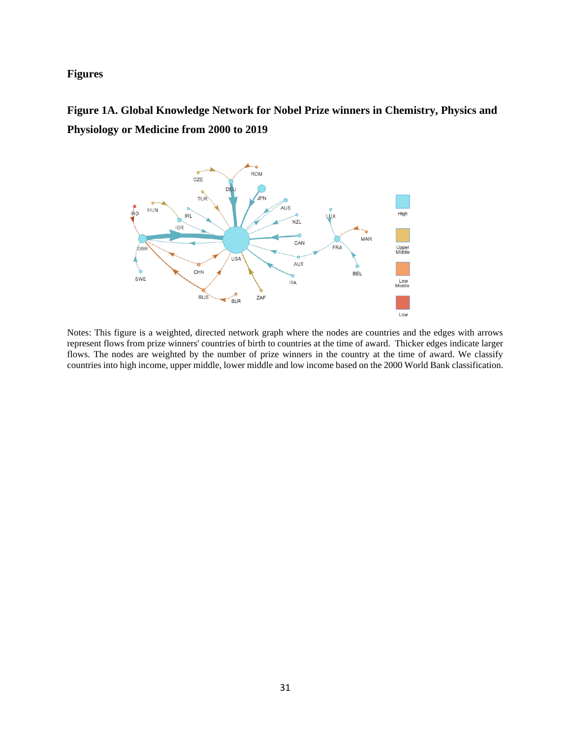## **Figures**

**Figure 1A. Global Knowledge Network for Nobel Prize winners in Chemistry, Physics and Physiology or Medicine from 2000 to 2019**



Notes: This figure is a weighted, directed network graph where the nodes are countries and the edges with arrows represent flows from prize winners' countries of birth to countries at the time of award. Thicker edges indicate larger flows. The nodes are weighted by the number of prize winners in the country at the time of award. We classify countries into high income, upper middle, lower middle and low income based on the 2000 World Bank classification.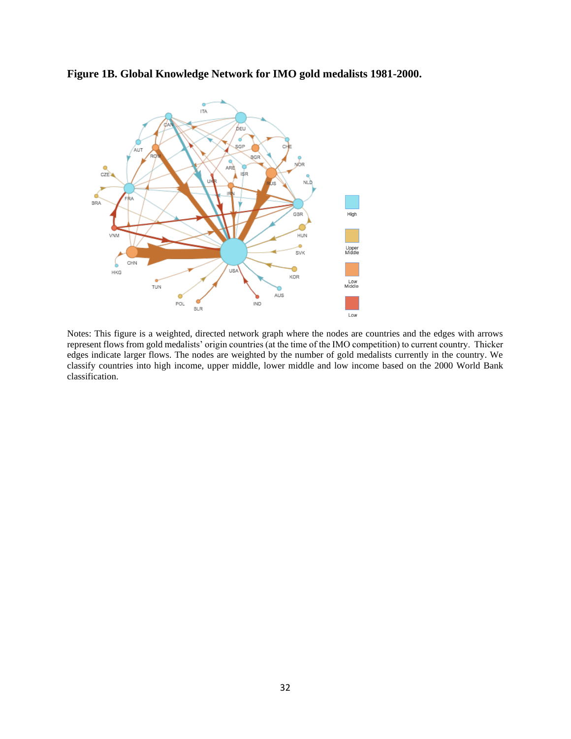

**Figure 1B. Global Knowledge Network for IMO gold medalists 1981-2000.** 

Notes: This figure is a weighted, directed network graph where the nodes are countries and the edges with arrows represent flows from gold medalists' origin countries (at the time of the IMO competition) to current country. Thicker edges indicate larger flows. The nodes are weighted by the number of gold medalists currently in the country. We classify countries into high income, upper middle, lower middle and low income based on the 2000 World Bank classification.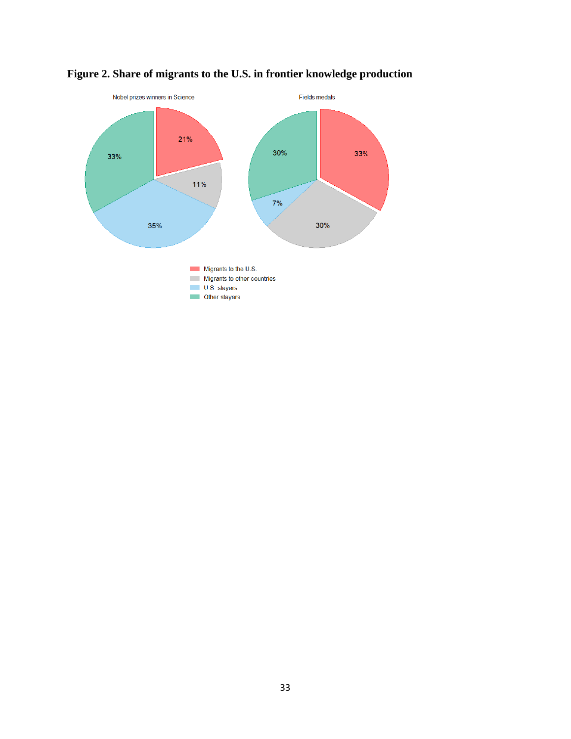

# **Figure 2. Share of migrants to the U.S. in frontier knowledge production**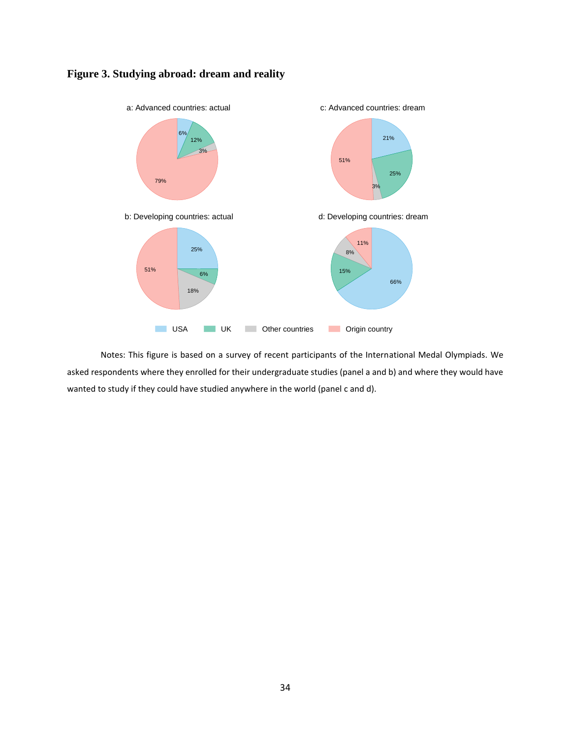



Notes: This figure is based on a survey of recent participants of the International Medal Olympiads. We asked respondents where they enrolled for their undergraduate studies (panel a and b) and where they would have wanted to study if they could have studied anywhere in the world (panel c and d).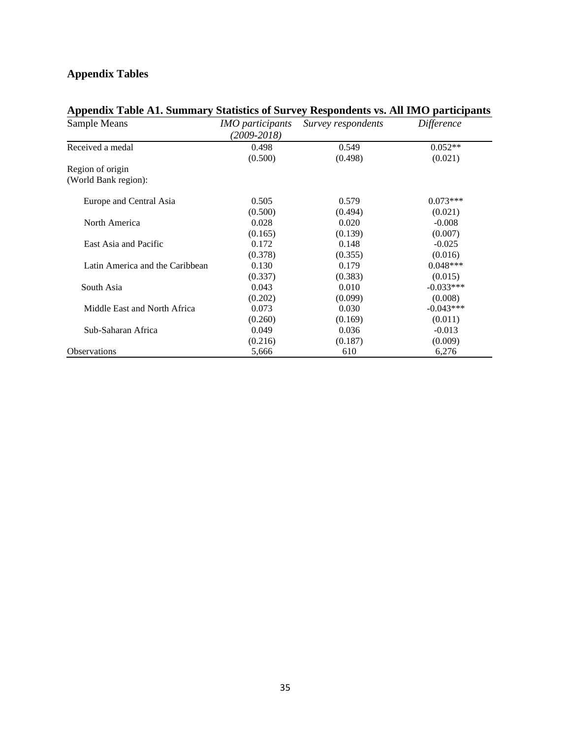# **Appendix Tables**

| Sample Means                    | <i>IMO participants</i><br>$(2009 - 2018)$ | Survey respondents | <b>Difference</b> |
|---------------------------------|--------------------------------------------|--------------------|-------------------|
| Received a medal                | 0.498                                      | 0.549              | $0.052**$         |
|                                 | (0.500)                                    | (0.498)            | (0.021)           |
| Region of origin                |                                            |                    |                   |
| (World Bank region):            |                                            |                    |                   |
| Europe and Central Asia         | 0.505                                      | 0.579              | $0.073***$        |
|                                 | (0.500)                                    | (0.494)            | (0.021)           |
| North America                   | 0.028                                      | 0.020              | $-0.008$          |
|                                 | (0.165)                                    | (0.139)            | (0.007)           |
| East Asia and Pacific           | 0.172                                      | 0.148              | $-0.025$          |
|                                 | (0.378)                                    | (0.355)            | (0.016)           |
| Latin America and the Caribbean | 0.130                                      | 0.179              | $0.048***$        |
|                                 | (0.337)                                    | (0.383)            | (0.015)           |
| South Asia                      | 0.043                                      | 0.010              | $-0.033***$       |
|                                 | (0.202)                                    | (0.099)            | (0.008)           |
| Middle East and North Africa    | 0.073                                      | 0.030              | $-0.043***$       |
|                                 | (0.260)                                    | (0.169)            | (0.011)           |
| Sub-Saharan Africa              | 0.049                                      | 0.036              | $-0.013$          |
|                                 | (0.216)                                    | (0.187)            | (0.009)           |
| <b>Observations</b>             | 5,666                                      | 610                | 6,276             |

# **Appendix Table A1. Summary Statistics of Survey Respondents vs. All IMO participants**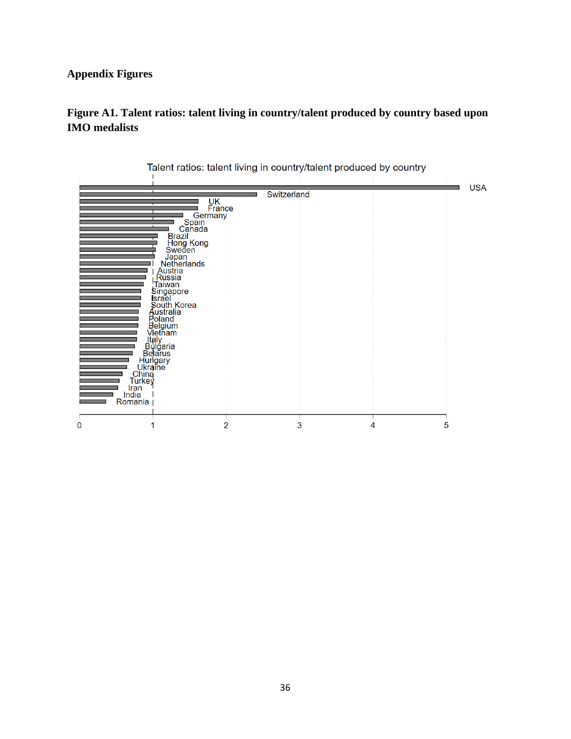# **Appendix Figures**

# **Figure A1. Talent ratios: talent living in country/talent produced by country based upon IMO medalists**

|                      |                                                         |              |             |   | <b>USA</b> |
|----------------------|---------------------------------------------------------|--------------|-------------|---|------------|
|                      |                                                         |              | Switzerland |   |            |
|                      |                                                         | UK<br>France |             |   |            |
|                      | Germany                                                 |              |             |   |            |
|                      | Spain<br>Canada                                         |              |             |   |            |
|                      |                                                         |              |             |   |            |
|                      | Brazil<br>Hong Kong<br>Sweden                           |              |             |   |            |
|                      | Japan<br>Netherlands                                    |              |             |   |            |
|                      | Austria<br>Russia                                       |              |             |   |            |
|                      | Taiwan                                                  |              |             |   |            |
|                      |                                                         |              |             |   |            |
|                      | Singapore<br>Israel<br>South Korea<br>Australia         |              |             |   |            |
|                      |                                                         |              |             |   |            |
|                      | Poland<br>Belgium<br>Vietnam                            |              |             |   |            |
|                      |                                                         |              |             |   |            |
|                      | ltaly<br>Bulgaria<br>Belarus                            |              |             |   |            |
|                      |                                                         |              |             |   |            |
|                      | Belarus<br>Hungary<br>Ukraine<br>China<br>Turkey<br>Tan |              |             |   |            |
|                      |                                                         |              |             |   |            |
| <b>Iran</b><br>India |                                                         |              |             |   |            |
| Romania              |                                                         |              |             |   |            |
|                      |                                                         |              |             |   |            |
| $\mathbf 0$          |                                                         | 2            | 3           | 4 | 5          |

Talent ratios: talent living in country/talent produced by country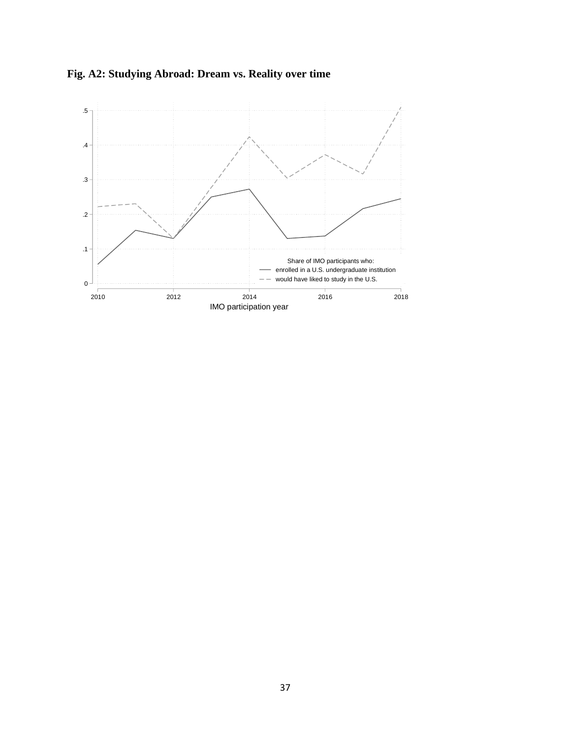

**Fig. A2: Studying Abroad: Dream vs. Reality over time**